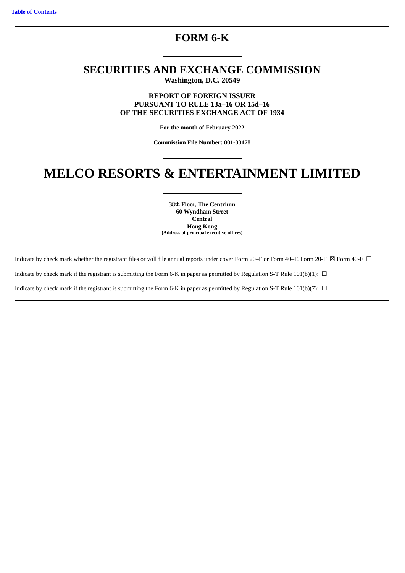### **FORM 6-K**

### **SECURITIES AND EXCHANGE COMMISSION Washington, D.C. 20549**

**REPORT OF FOREIGN ISSUER PURSUANT TO RULE 13a–16 OR 15d–16 OF THE SECURITIES EXCHANGE ACT OF 1934**

**For the month of February 2022**

**Commission File Number: 001-33178**

## **MELCO RESORTS & ENTERTAINMENT LIMITED**

**38th Floor, The Centrium 60 Wyndham Street Central Hong Kong (Address of principal executive offices)**

Indicate by check mark whether the registrant files or will file annual reports under cover Form 20–F or Form 40–F. Form 20-F  $\boxtimes$  Form 40–F  $\Box$ 

Indicate by check mark if the registrant is submitting the Form 6-K in paper as permitted by Regulation S-T Rule 101(b)(1):  $\Box$ 

Indicate by check mark if the registrant is submitting the Form 6-K in paper as permitted by Regulation S-T Rule 101(b)(7):  $\Box$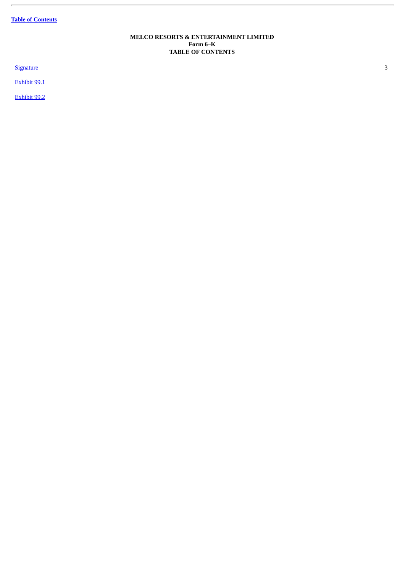**Table of [Contents](#page-1-0)**

ł.

#### **MELCO RESORTS & ENTERTAINMENT LIMITED Form 6–K TABLE OF CONTENTS**

<span id="page-1-0"></span>**[Signature](#page-2-0)** 3

[Exhibit](#page-4-0) 99.1

[Exhibit](#page-27-0) 99.2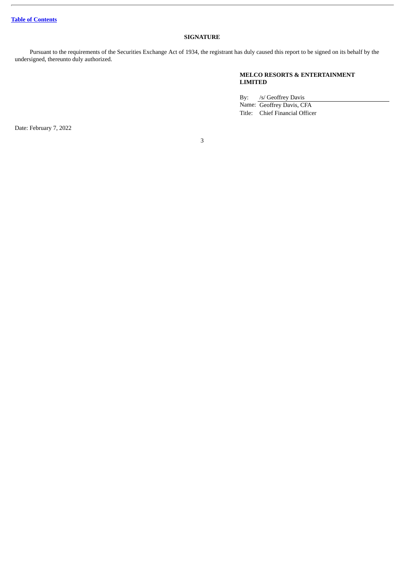#### **SIGNATURE**

<span id="page-2-0"></span>Pursuant to the requirements of the Securities Exchange Act of 1934, the registrant has duly caused this report to be signed on its behalf by the undersigned, thereunto duly authorized.

#### **MELCO RESORTS & ENTERTAINMENT LIMITED**

By: /s/ Geoffrey Davis Name: Geoffrey Davis, CFA

Title: Chief Financial Officer

Date: February 7, 2022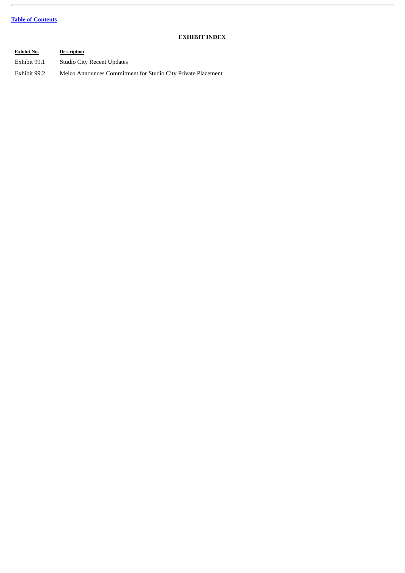#### **Table of [Contents](#page-1-0)**

 $\overline{a}$ 

#### **EXHIBIT INDEX**

| <b>Exhibit No.</b> | <b>Description</b>                                           |
|--------------------|--------------------------------------------------------------|
| Exhibit 99.1       | <b>Studio City Recent Updates</b>                            |
| Exhibit 99.2       | Melco Announces Commitment for Studio City Private Placement |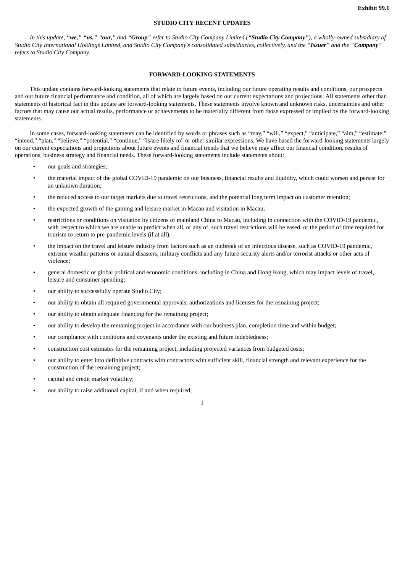#### **STUDIO CITY RECENT UPDATES**

<span id="page-4-0"></span>In this update, "we," "us," "our," and "Group" refer to Studio City Company Limited ("Studio City Company"), a wholly-owned subsidiary of Studio City International Holdings Limited, and Studio City Company's consolidated subsidiaries, collectively, and the "Issuer" and the "Company" *refers to Studio City Company.*

#### **FORWARD-LOOKING STATEMENTS**

This update contains forward-looking statements that relate to future events, including our future operating results and conditions, our prospects and our future financial performance and condition, all of which are largely based on our current expectations and projections. All statements other than statements of historical fact in this update are forward-looking statements. These statements involve known and unknown risks, uncertainties and other factors that may cause our actual results, performance or achievements to be materially different from those expressed or implied by the forward-looking statements.

In some cases, forward-looking statements can be identified by words or phrases such as "may," "will," "expect," "anticipate," "aim," "estimate," "intend," "plan," "believe," "potential," "continue," "is/are likely to" or other similar expressions. We have based the forward-looking statements largely on our current expectations and projections about future events and financial trends that we believe may affect our financial condition, results of operations, business strategy and financial needs. These forward-looking statements include statements about:

- our goals and strategies;
- the material impact of the global COVID-19 pandemic on our business, financial results and liquidity, which could worsen and persist for an unknown duration;
- the reduced access to our target markets due to travel restrictions, and the potential long term impact on customer retention;
- the expected growth of the gaming and leisure market in Macau and visitation in Macau;
- restrictions or conditions on visitation by citizens of mainland China to Macau, including in connection with the COVID-19 pandemic, with respect to which we are unable to predict when all, or any of, such travel restrictions will be eased, or the period of time required for tourism to return to pre-pandemic levels (if at all);
- the impact on the travel and leisure industry from factors such as an outbreak of an infectious disease, such as COVID-19 pandemic, extreme weather patterns or natural disasters, military conflicts and any future security alerts and/or terrorist attacks or other acts of violence;
- general domestic or global political and economic conditions, including in China and Hong Kong, which may impact levels of travel, leisure and consumer spending;
- our ability to successfully operate Studio City;
- our ability to obtain all required governmental approvals, authorizations and licenses for the remaining project;
- our ability to obtain adequate financing for the remaining project;
- our ability to develop the remaining project in accordance with our business plan, completion time and within budget;
- our compliance with conditions and covenants under the existing and future indebtedness;
- construction cost estimates for the remaining project, including projected variances from budgeted costs;
- our ability to enter into definitive contracts with contractors with sufficient skill, financial strength and relevant experience for the construction of the remaining project;
- capital and credit market volatility;
- our ability to raise additional capital, if and when required;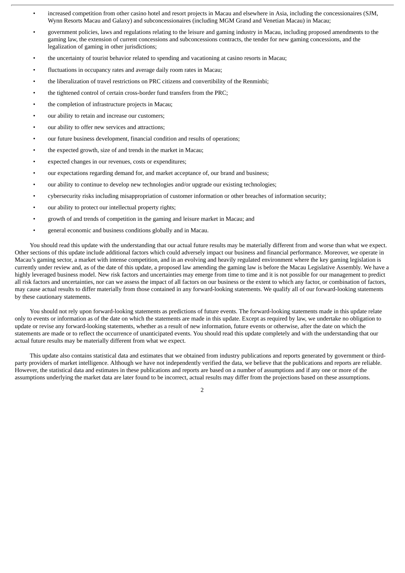- increased competition from other casino hotel and resort projects in Macau and elsewhere in Asia, including the concessionaires (SJM, Wynn Resorts Macau and Galaxy) and subconcessionaires (including MGM Grand and Venetian Macau) in Macau;
- government policies, laws and regulations relating to the leisure and gaming industry in Macau, including proposed amendments to the gaming law, the extension of current concessions and subconcessions contracts, the tender for new gaming concessions, and the legalization of gaming in other jurisdictions;
- the uncertainty of tourist behavior related to spending and vacationing at casino resorts in Macau;
- fluctuations in occupancy rates and average daily room rates in Macau;
- the liberalization of travel restrictions on PRC citizens and convertibility of the Renminbi;
- the tightened control of certain cross-border fund transfers from the PRC;
- the completion of infrastructure projects in Macau;
- our ability to retain and increase our customers;
- our ability to offer new services and attractions;
- our future business development, financial condition and results of operations;
- the expected growth, size of and trends in the market in Macau;
- expected changes in our revenues, costs or expenditures;
- our expectations regarding demand for, and market acceptance of, our brand and business;
- our ability to continue to develop new technologies and/or upgrade our existing technologies;
- cybersecurity risks including misappropriation of customer information or other breaches of information security;
- our ability to protect our intellectual property rights;
- growth of and trends of competition in the gaming and leisure market in Macau; and
- general economic and business conditions globally and in Macau.

You should read this update with the understanding that our actual future results may be materially different from and worse than what we expect. Other sections of this update include additional factors which could adversely impact our business and financial performance. Moreover, we operate in Macau's gaming sector, a market with intense competition, and in an evolving and heavily regulated environment where the key gaming legislation is currently under review and, as of the date of this update, a proposed law amending the gaming law is before the Macau Legislative Assembly. We have a highly leveraged business model. New risk factors and uncertainties may emerge from time to time and it is not possible for our management to predict all risk factors and uncertainties, nor can we assess the impact of all factors on our business or the extent to which any factor, or combination of factors, may cause actual results to differ materially from those contained in any forward-looking statements. We qualify all of our forward-looking statements by these cautionary statements.

You should not rely upon forward-looking statements as predictions of future events. The forward-looking statements made in this update relate only to events or information as of the date on which the statements are made in this update. Except as required by law, we undertake no obligation to update or revise any forward-looking statements, whether as a result of new information, future events or otherwise, after the date on which the statements are made or to reflect the occurrence of unanticipated events. You should read this update completely and with the understanding that our actual future results may be materially different from what we expect.

This update also contains statistical data and estimates that we obtained from industry publications and reports generated by government or thirdparty providers of market intelligence. Although we have not independently verified the data, we believe that the publications and reports are reliable. However, the statistical data and estimates in these publications and reports are based on a number of assumptions and if any one or more of the assumptions underlying the market data are later found to be incorrect, actual results may differ from the projections based on these assumptions.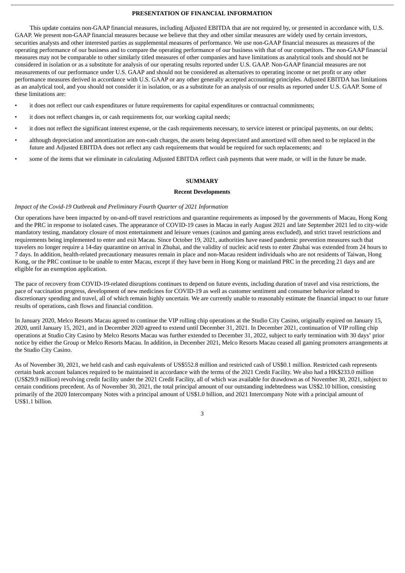#### **PRESENTATION OF FINANCIAL INFORMATION**

This update contains non-GAAP financial measures, including Adjusted EBITDA that are not required by, or presented in accordance with, U.S. GAAP. We present non-GAAP financial measures because we believe that they and other similar measures are widely used by certain investors, securities analysts and other interested parties as supplemental measures of performance. We use non-GAAP financial measures as measures of the operating performance of our business and to compare the operating performance of our business with that of our competitors. The non-GAAP financial measures may not be comparable to other similarly titled measures of other companies and have limitations as analytical tools and should not be considered in isolation or as a substitute for analysis of our operating results reported under U.S. GAAP. Non-GAAP financial measures are not measurements of our performance under U.S. GAAP and should not be considered as alternatives to operating income or net profit or any other performance measures derived in accordance with U.S. GAAP or any other generally accepted accounting principles. Adjusted EBITDA has limitations as an analytical tool, and you should not consider it in isolation, or as a substitute for an analysis of our results as reported under U.S. GAAP. Some of these limitations are:

- it does not reflect our cash expenditures or future requirements for capital expenditures or contractual commitments;
- it does not reflect changes in, or cash requirements for, our working capital needs;
- it does not reflect the significant interest expense, or the cash requirements necessary, to service interest or principal payments, on our debts;
- although depreciation and amortization are non-cash charges, the assets being depreciated and amortized will often need to be replaced in the future and Adjusted EBITDA does not reflect any cash requirements that would be required for such replacements; and
- some of the items that we eliminate in calculating Adjusted EBITDA reflect cash payments that were made, or will in the future be made.

#### **SUMMARY**

#### **Recent Developments**

#### *Impact of the Covid-19 Outbreak and Preliminary Fourth Quarter of 2021 Information*

Our operations have been impacted by on-and-off travel restrictions and quarantine requirements as imposed by the governments of Macau, Hong Kong and the PRC in response to isolated cases. The appearance of COVID-19 cases in Macau in early August 2021 and late September 2021 led to city-wide mandatory testing, mandatory closure of most entertainment and leisure venues (casinos and gaming areas excluded), and strict travel restrictions and requirements being implemented to enter and exit Macau. Since October 19, 2021, authorities have eased pandemic prevention measures such that travelers no longer require a 14-day quarantine on arrival in Zhuhai, and the validity of nucleic acid tests to enter Zhuhai was extended from 24 hours to 7 days. In addition, health-related precautionary measures remain in place and non-Macau resident individuals who are not residents of Taiwan, Hong Kong, or the PRC continue to be unable to enter Macau, except if they have been in Hong Kong or mainland PRC in the preceding 21 days and are eligible for an exemption application.

The pace of recovery from COVID-19-related disruptions continues to depend on future events, including duration of travel and visa restrictions, the pace of vaccination progress, development of new medicines for COVID-19 as well as customer sentiment and consumer behavior related to discretionary spending and travel, all of which remain highly uncertain. We are currently unable to reasonably estimate the financial impact to our future results of operations, cash flows and financial condition.

In January 2020, Melco Resorts Macau agreed to continue the VIP rolling chip operations at the Studio City Casino, originally expired on January 15, 2020, until January 15, 2021, and in December 2020 agreed to extend until December 31, 2021. In December 2021, continuation of VIP rolling chip operations at Studio City Casino by Melco Resorts Macau was further extended to December 31, 2022, subject to early termination with 30 days' prior notice by either the Group or Melco Resorts Macau. In addition, in December 2021, Melco Resorts Macau ceased all gaming promoters arrangements at the Studio City Casino.

As of November 30, 2021, we held cash and cash equivalents of US\$552.8 million and restricted cash of US\$0.1 million. Restricted cash represents certain bank account balances required to be maintained in accordance with the terms of the 2021 Credit Facility. We also had a HK\$233.0 million (US\$29.9 million) revolving credit facility under the 2021 Credit Facility, all of which was available for drawdown as of November 30, 2021, subject to certain conditions precedent. As of November 30, 2021, the total principal amount of our outstanding indebtedness was US\$2.10 billion, consisting primarily of the 2020 Intercompany Notes with a principal amount of US\$1.0 billion, and 2021 Intercompany Note with a principal amount of US\$1.1 billion.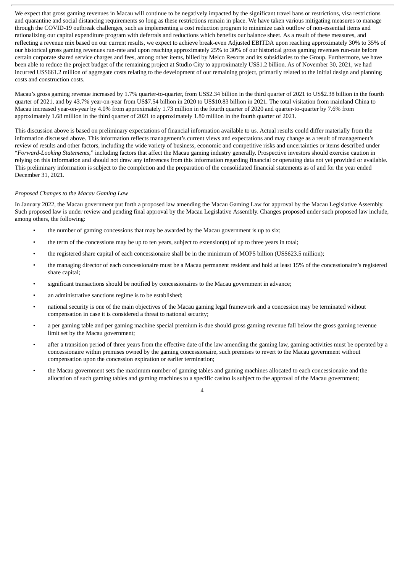We expect that gross gaming revenues in Macau will continue to be negatively impacted by the significant travel bans or restrictions, visa restrictions and quarantine and social distancing requirements so long as these restrictions remain in place. We have taken various mitigating measures to manage through the COVID-19 outbreak challenges, such as implementing a cost reduction program to minimize cash outflow of non-essential items and rationalizing our capital expenditure program with deferrals and reductions which benefits our balance sheet. As a result of these measures, and reflecting a revenue mix based on our current results, we expect to achieve break-even Adjusted EBITDA upon reaching approximately 30% to 35% of our historical gross gaming revenues run-rate and upon reaching approximately 25% to 30% of our historical gross gaming revenues run-rate before certain corporate shared service charges and fees, among other items, billed by Melco Resorts and its subsidiaries to the Group. Furthermore, we have been able to reduce the project budget of the remaining project at Studio City to approximately US\$1.2 billion. As of November 30, 2021, we had incurred US\$661.2 million of aggregate costs relating to the development of our remaining project, primarily related to the initial design and planning costs and construction costs.

Macau's gross gaming revenue increased by 1.7% quarter-to-quarter, from US\$2.34 billion in the third quarter of 2021 to US\$2.38 billion in the fourth quarter of 2021, and by 43.7% year-on-year from US\$7.54 billion in 2020 to US\$10.83 billion in 2021. The total visitation from mainland China to Macau increased year-on-year by 4.0% from approximately 1.73 million in the fourth quarter of 2020 and quarter-to-quarter by 7.6% from approximately 1.68 million in the third quarter of 2021 to approximately 1.80 million in the fourth quarter of 2021.

This discussion above is based on preliminary expectations of financial information available to us. Actual results could differ materially from the information discussed above. This information reflects management's current views and expectations and may change as a result of management's review of results and other factors, including the wide variety of business, economic and competitive risks and uncertainties or items described under "*Forward-Looking Statements*," including factors that affect the Macau gaming industry generally. Prospective investors should exercise caution in relying on this information and should not draw any inferences from this information regarding financial or operating data not yet provided or available. This preliminary information is subject to the completion and the preparation of the consolidated financial statements as of and for the year ended December 31, 2021.

#### *Proposed Changes to the Macau Gaming Law*

In January 2022, the Macau government put forth a proposed law amending the Macau Gaming Law for approval by the Macau Legislative Assembly. Such proposed law is under review and pending final approval by the Macau Legislative Assembly. Changes proposed under such proposed law include, among others, the following:

- the number of gaming concessions that may be awarded by the Macau government is up to six;
- the term of the concessions may be up to ten years, subject to extension(s) of up to three years in total;
- the registered share capital of each concessionaire shall be in the minimum of MOP5 billion (US\$623.5 million);
- the managing director of each concessionaire must be a Macau permanent resident and hold at least 15% of the concessionaire's registered share capital;
- significant transactions should be notified by concessionaires to the Macau government in advance;
- an administrative sanctions regime is to be established;
- national security is one of the main objectives of the Macau gaming legal framework and a concession may be terminated without compensation in case it is considered a threat to national security;
- a per gaming table and per gaming machine special premium is due should gross gaming revenue fall below the gross gaming revenue limit set by the Macau government;
- after a transition period of three years from the effective date of the law amending the gaming law, gaming activities must be operated by a concessionaire within premises owned by the gaming concessionaire, such premises to revert to the Macau government without compensation upon the concession expiration or earlier termination;
- the Macau government sets the maximum number of gaming tables and gaming machines allocated to each concessionaire and the allocation of such gaming tables and gaming machines to a specific casino is subject to the approval of the Macau government;

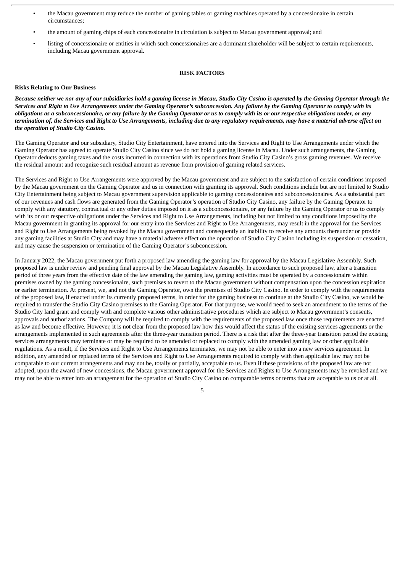- the Macau government may reduce the number of gaming tables or gaming machines operated by a concessionaire in certain circumstances;
- the amount of gaming chips of each concessionaire in circulation is subject to Macau government approval; and
- listing of concessionaire or entities in which such concessionaires are a dominant shareholder will be subject to certain requirements, including Macau government approval.

#### **RISK FACTORS**

#### **Risks Relating to Our Business**

Because neither we nor any of our subsidiaries hold a gaming license in Macau, Studio City Casino is operated by the Gaming Operator through the Services and Right to Use Arrangements under the Gaming Operator's subconcession. Any failure by the Gaming Operator to comply with its obligations as a subconcessionaire, or any failure by the Gaming Operator or us to comply with its or our respective obligations under, or any termination of, the Services and Right to Use Arrangements, including due to any regulatory requirements, may have a material adverse effect on *the operation of Studio City Casino.*

The Gaming Operator and our subsidiary, Studio City Entertainment, have entered into the Services and Right to Use Arrangements under which the Gaming Operator has agreed to operate Studio City Casino since we do not hold a gaming license in Macau. Under such arrangements, the Gaming Operator deducts gaming taxes and the costs incurred in connection with its operations from Studio City Casino's gross gaming revenues. We receive the residual amount and recognize such residual amount as revenue from provision of gaming related services.

The Services and Right to Use Arrangements were approved by the Macau government and are subject to the satisfaction of certain conditions imposed by the Macau government on the Gaming Operator and us in connection with granting its approval. Such conditions include but are not limited to Studio City Entertainment being subject to Macau government supervision applicable to gaming concessionaires and subconcessionaires. As a substantial part of our revenues and cash flows are generated from the Gaming Operator's operation of Studio City Casino, any failure by the Gaming Operator to comply with any statutory, contractual or any other duties imposed on it as a subconcessionaire, or any failure by the Gaming Operator or us to comply with its or our respective obligations under the Services and Right to Use Arrangements, including but not limited to any conditions imposed by the Macau government in granting its approval for our entry into the Services and Right to Use Arrangements, may result in the approval for the Services and Right to Use Arrangements being revoked by the Macau government and consequently an inability to receive any amounts thereunder or provide any gaming facilities at Studio City and may have a material adverse effect on the operation of Studio City Casino including its suspension or cessation, and may cause the suspension or termination of the Gaming Operator's subconcession.

In January 2022, the Macau government put forth a proposed law amending the gaming law for approval by the Macau Legislative Assembly. Such proposed law is under review and pending final approval by the Macau Legislative Assembly. In accordance to such proposed law, after a transition period of three years from the effective date of the law amending the gaming law, gaming activities must be operated by a concessionaire within premises owned by the gaming concessionaire, such premises to revert to the Macau government without compensation upon the concession expiration or earlier termination. At present, we, and not the Gaming Operator, own the premises of Studio City Casino. In order to comply with the requirements of the proposed law, if enacted under its currently proposed terms, in order for the gaming business to continue at the Studio City Casino, we would be required to transfer the Studio City Casino premises to the Gaming Operator. For that purpose, we would need to seek an amendment to the terms of the Studio City land grant and comply with and complete various other administrative procedures which are subject to Macau government's consents, approvals and authorizations. The Company will be required to comply with the requirements of the proposed law once those requirements are enacted as law and become effective. However, it is not clear from the proposed law how this would affect the status of the existing services agreements or the arrangements implemented in such agreements after the three-year transition period. There is a risk that after the three-year transition period the existing services arrangements may terminate or may be required to be amended or replaced to comply with the amended gaming law or other applicable regulations. As a result, if the Services and Right to Use Arrangements terminates, we may not be able to enter into a new services agreement. In addition, any amended or replaced terms of the Services and Right to Use Arrangements required to comply with then applicable law may not be comparable to our current arrangements and may not be, totally or partially, acceptable to us. Even if these provisions of the proposed law are not adopted, upon the award of new concessions, the Macau government approval for the Services and Rights to Use Arrangements may be revoked and we may not be able to enter into an arrangement for the operation of Studio City Casino on comparable terms or terms that are acceptable to us or at all.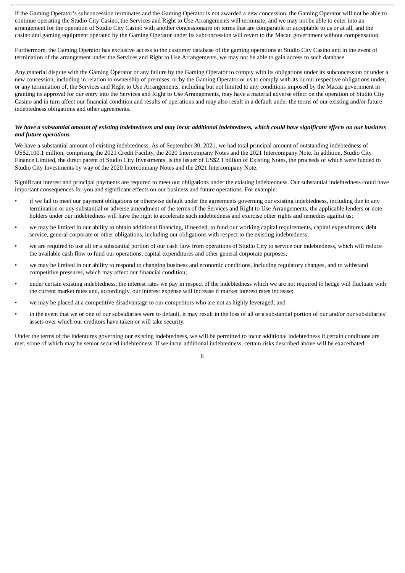If the Gaming Operator's subconcession terminates and the Gaming Operator is not awarded a new concession, the Gaming Operator will not be able to continue operating the Studio City Casino, the Services and Right to Use Arrangements will terminate, and we may not be able to enter into an arrangement for the operation of Studio City Casino with another concessionaire on terms that are comparable or acceptable to us or at all, and the casino and gaming equipment operated by the Gaming Operator under its subconcession will revert to the Macau government without compensation.

Furthermore, the Gaming Operator has exclusive access to the customer database of the gaming operations at Studio City Casino and in the event of termination of the arrangement under the Services and Right to Use Arrangements, we may not be able to gain access to such database.

Any material dispute with the Gaming Operator or any failure by the Gaming Operator to comply with its obligations under its subconcession or under a new concession, including in relation to ownership of premises, or by the Gaming Operator or us to comply with its or our respective obligations under, or any termination of, the Services and Right to Use Arrangements, including but not limited to any conditions imposed by the Macau government in granting its approval for our entry into the Services and Right to Use Arrangements, may have a material adverse effect on the operation of Studio City Casino and in turn affect our financial condition and results of operations and may also result in a default under the terms of our existing and/or future indebtedness obligations and other agreements.

#### We have a substantial amount of existing indebtedness and may incur additional indebtedness, which could have significant effects on our business *and future operations.*

We have a substantial amount of existing indebtedness. As of September 30, 2021, we had total principal amount of outstanding indebtedness of US\$2,100.1 million, comprising the 2021 Credit Facility, the 2020 Intercompany Notes and the 2021 Intercompany Note. In addition, Studio City Finance Limited, the direct parent of Studio City Investments, is the issuer of US\$2.1 billion of Existing Notes, the proceeds of which were funded to Studio City Investments by way of the 2020 Intercompany Notes and the 2021 Intercompany Note.

Significant interest and principal payments are required to meet our obligations under the existing indebtedness. Our substantial indebtedness could have important consequences for you and significant effects on our business and future operations. For example:

- if we fail to meet our payment obligations or otherwise default under the agreements governing our existing indebtedness, including due to any termination or any substantial or adverse amendment of the terms of the Services and Right to Use Arrangements, the applicable lenders or note holders under our indebtedness will have the right to accelerate such indebtedness and exercise other rights and remedies against us;
- we may be limited in our ability to obtain additional financing, if needed, to fund our working capital requirements, capital expenditures, debt service, general corporate or other obligations, including our obligations with respect to the existing indebtedness;
- we are required to use all or a substantial portion of our cash flow from operations of Studio City to service our indebtedness, which will reduce the available cash flow to fund our operations, capital expenditures and other general corporate purposes;
- we may be limited in our ability to respond to changing business and economic conditions, including regulatory changes, and to withstand competitive pressures, which may affect our financial condition;
- under certain existing indebtedness, the interest rates we pay in respect of the indebtedness which we are not required to hedge will fluctuate with the current market rates and, accordingly, our interest expense will increase if market interest rates increase;
- we may be placed at a competitive disadvantage to our competitors who are not as highly leveraged; and
- in the event that we or one of our subsidiaries were to default, it may result in the loss of all or a substantial portion of our and/or our subsidiaries' assets over which our creditors have taken or will take security.

Under the terms of the indentures governing our existing indebtedness, we will be permitted to incur additional indebtedness if certain conditions are met, some of which may be senior secured indebtedness. If we incur additional indebtedness, certain risks described above will be exacerbated.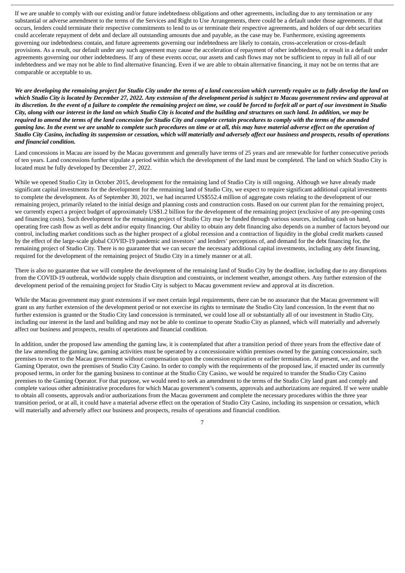If we are unable to comply with our existing and/or future indebtedness obligations and other agreements, including due to any termination or any substantial or adverse amendment to the terms of the Services and Right to Use Arrangements, there could be a default under those agreements. If that occurs, lenders could terminate their respective commitments to lend to us or terminate their respective agreements, and holders of our debt securities could accelerate repayment of debt and declare all outstanding amounts due and payable, as the case may be. Furthermore, existing agreements governing our indebtedness contain, and future agreements governing our indebtedness are likely to contain, cross-acceleration or cross-default provisions. As a result, our default under any such agreement may cause the acceleration of repayment of other indebtedness, or result in a default under agreements governing our other indebtedness. If any of these events occur, our assets and cash flows may not be sufficient to repay in full all of our indebtedness and we may not be able to find alternative financing. Even if we are able to obtain alternative financing, it may not be on terms that are comparable or acceptable to us.

We are developing the remaining project for Studio City under the terms of a land concession which currently require us to fully develop the land on which Studio City is located by December 27, 2022. Any extension of the development period is subject to Macau government review and approval at its discretion. In the event of a failure to complete the remaining project on time, we could be forced to forfeit all or part of our investment in Studio City, along with our interest in the land on which Studio City is located and the building and structures on such land. In addition, we may be required to amend the terms of the land concession for Studio City and complete certain procedures to comply with the terms of the amended gaming law. In the event we are unable to complete such procedures on time or at all, this may have material adverse effect on the operation of Studio City Casino, including its suspension or cessation, which will materially and adversely affect our business and prospects, results of operations *and financial condition.*

Land concessions in Macau are issued by the Macau government and generally have terms of 25 years and are renewable for further consecutive periods of ten years. Land concessions further stipulate a period within which the development of the land must be completed. The land on which Studio City is located must be fully developed by December 27, 2022.

While we opened Studio City in October 2015, development for the remaining land of Studio City is still ongoing. Although we have already made significant capital investments for the development for the remaining land of Studio City, we expect to require significant additional capital investments to complete the development. As of September 30, 2021, we had incurred US\$552.4 million of aggregate costs relating to the development of our remaining project, primarily related to the initial design and planning costs and construction costs. Based on our current plan for the remaining project, we currently expect a project budget of approximately US\$1.2 billion for the development of the remaining project (exclusive of any pre-opening costs and financing costs). Such development for the remaining project of Studio City may be funded through various sources, including cash on hand, operating free cash flow as well as debt and/or equity financing. Our ability to obtain any debt financing also depends on a number of factors beyond our control, including market conditions such as the higher prospect of a global recession and a contraction of liquidity in the global credit markets caused by the effect of the large-scale global COVID-19 pandemic and investors' and lenders' perceptions of, and demand for the debt financing for, the remaining project of Studio City. There is no guarantee that we can secure the necessary additional capital investments, including any debt financing, required for the development of the remaining project of Studio City in a timely manner or at all.

There is also no guarantee that we will complete the development of the remaining land of Studio City by the deadline, including due to any disruptions from the COVID-19 outbreak, worldwide supply chain disruption and constraints, or inclement weather, amongst others. Any further extension of the development period of the remaining project for Studio City is subject to Macau government review and approval at its discretion.

While the Macau government may grant extensions if we meet certain legal requirements, there can be no assurance that the Macau government will grant us any further extension of the development period or not exercise its rights to terminate the Studio City land concession. In the event that no further extension is granted or the Studio City land concession is terminated, we could lose all or substantially all of our investment in Studio City, including our interest in the land and building and may not be able to continue to operate Studio City as planned, which will materially and adversely affect our business and prospects, results of operations and financial condition.

In addition, under the proposed law amending the gaming law, it is contemplated that after a transition period of three years from the effective date of the law amending the gaming law, gaming activities must be operated by a concessionaire within premises owned by the gaming concessionaire, such premises to revert to the Macau government without compensation upon the concession expiration or earlier termination. At present, we, and not the Gaming Operator, own the premises of Studio City Casino. In order to comply with the requirements of the proposed law, if enacted under its currently proposed terms, in order for the gaming business to continue at the Studio City Casino, we would be required to transfer the Studio City Casino premises to the Gaming Operator. For that purpose, we would need to seek an amendment to the terms of the Studio City land grant and comply and complete various other administrative procedures for which Macau government's consents, approvals and authorizations are required. If we were unable to obtain all consents, approvals and/or authorizations from the Macau government and complete the necessary procedures within the three year transition period, or at all, it could have a material adverse effect on the operation of Studio City Casino, including its suspension or cessation, which will materially and adversely affect our business and prospects, results of operations and financial condition.

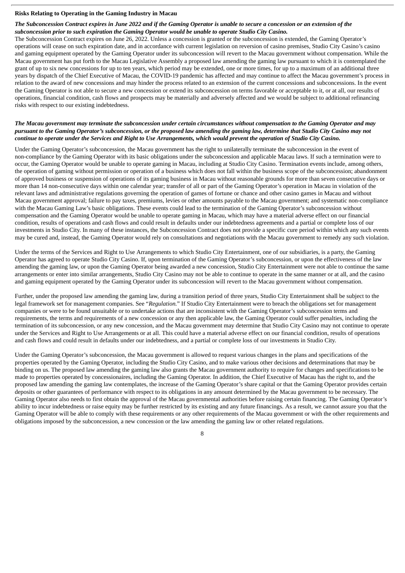#### **Risks Relating to Operating in the Gaming Industry in Macau**

#### The Subconcession Contract expires in June 2022 and if the Gaming Operator is unable to secure a concession or an extension of the *subconcession prior to such expiration the Gaming Operator would be unable to operate Studio City Casino.*

The Subconcession Contract expires on June 26, 2022. Unless a concession is granted or the subconcession is extended, the Gaming Operator's operations will cease on such expiration date, and in accordance with current legislation on reversion of casino premises, Studio City Casino's casino and gaming equipment operated by the Gaming Operator under its subconcession will revert to the Macau government without compensation. While the Macau government has put forth to the Macau Legislative Assembly a proposed law amending the gaming law pursuant to which it is contemplated the grant of up to six new concessions for up to ten years, which period may be extended, one or more times, for up to a maximum of an additional three years by dispatch of the Chief Executive of Macau, the COVID-19 pandemic has affected and may continue to affect the Macau government's process in relation to the award of new concessions and may hinder the process related to an extension of the current concessions and subconcessions. In the event the Gaming Operator is not able to secure a new concession or extend its subconcession on terms favorable or acceptable to it, or at all, our results of operations, financial condition, cash flows and prospects may be materially and adversely affected and we would be subject to additional refinancing risks with respect to our existing indebtedness.

#### The Macau government may terminate the subconcession under certain circumstances without compensation to the Gaming Operator and may pursuant to the Gaming Operator's subconcession, or the proposed law amending the gaming law, determine that Studio City Casino may not continue to operate under the Services and Right to Use Arrangements, which would prevent the operation of Studio City Casino.

Under the Gaming Operator's subconcession, the Macau government has the right to unilaterally terminate the subconcession in the event of non-compliance by the Gaming Operator with its basic obligations under the subconcession and applicable Macau laws. If such a termination were to occur, the Gaming Operator would be unable to operate gaming in Macau, including at Studio City Casino. Termination events include, among others, the operation of gaming without permission or operation of a business which does not fall within the business scope of the subconcession; abandonment of approved business or suspension of operations of its gaming business in Macau without reasonable grounds for more than seven consecutive days or more than 14 non-consecutive days within one calendar year; transfer of all or part of the Gaming Operator's operation in Macau in violation of the relevant laws and administrative regulations governing the operation of games of fortune or chance and other casino games in Macau and without Macau government approval; failure to pay taxes, premiums, levies or other amounts payable to the Macau government; and systematic non-compliance with the Macau Gaming Law's basic obligations. These events could lead to the termination of the Gaming Operator's subconcession without compensation and the Gaming Operator would be unable to operate gaming in Macau, which may have a material adverse effect on our financial condition, results of operations and cash flows and could result in defaults under our indebtedness agreements and a partial or complete loss of our investments in Studio City. In many of these instances, the Subconcession Contract does not provide a specific cure period within which any such events may be cured and, instead, the Gaming Operator would rely on consultations and negotiations with the Macau government to remedy any such violation.

Under the terms of the Services and Right to Use Arrangements to which Studio City Entertainment, one of our subsidiaries, is a party, the Gaming Operator has agreed to operate Studio City Casino. If, upon termination of the Gaming Operator's subconcession, or upon the effectiveness of the law amending the gaming law, or upon the Gaming Operator being awarded a new concession, Studio City Entertainment were not able to continue the same arrangements or enter into similar arrangements, Studio City Casino may not be able to continue to operate in the same manner or at all, and the casino and gaming equipment operated by the Gaming Operator under its subconcession will revert to the Macau government without compensation.

Further, under the proposed law amending the gaming law, during a transition period of three years, Studio City Entertainment shall be subject to the legal framework set for management companies. See "*Regulation.*" If Studio City Entertainment were to breach the obligations set for management companies or were to be found unsuitable or to undertake actions that are inconsistent with the Gaming Operator's subconcession terms and requirements, the terms and requirements of a new concession or any then applicable law, the Gaming Operator could suffer penalties, including the termination of its subconcession, or any new concession, and the Macau government may determine that Studio City Casino may not continue to operate under the Services and Right to Use Arrangements or at all. This could have a material adverse effect on our financial condition, results of operations and cash flows and could result in defaults under our indebtedness, and a partial or complete loss of our investments in Studio City.

Under the Gaming Operator's subconcession, the Macau government is allowed to request various changes in the plans and specifications of the properties operated by the Gaming Operator, including the Studio City Casino, and to make various other decisions and determinations that may be binding on us. The proposed law amending the gaming law also grants the Macau government authority to require for changes and specifications to be made to properties operated by concessionaires, including the Gaming Operator. In addition, the Chief Executive of Macau has the right to, and the proposed law amending the gaming law contemplates, the increase of the Gaming Operator's share capital or that the Gaming Operator provides certain deposits or other guarantees of performance with respect to its obligations in any amount determined by the Macau government to be necessary. The Gaming Operator also needs to first obtain the approval of the Macau governmental authorities before raising certain financing. The Gaming Operator's ability to incur indebtedness or raise equity may be further restricted by its existing and any future financings. As a result, we cannot assure you that the Gaming Operator will be able to comply with these requirements or any other requirements of the Macau government or with the other requirements and obligations imposed by the subconcession, a new concession or the law amending the gaming law or other related regulations.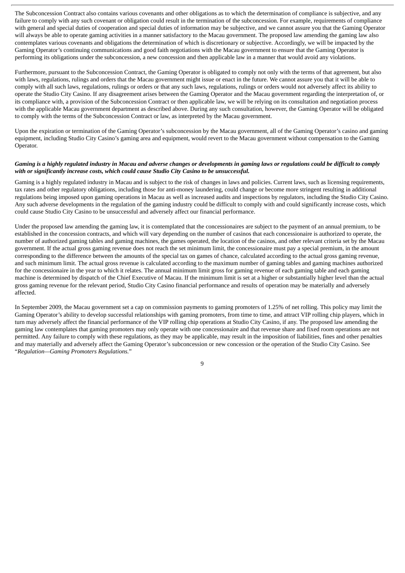The Subconcession Contract also contains various covenants and other obligations as to which the determination of compliance is subjective, and any failure to comply with any such covenant or obligation could result in the termination of the subconcession. For example, requirements of compliance with general and special duties of cooperation and special duties of information may be subjective, and we cannot assure you that the Gaming Operator will always be able to operate gaming activities in a manner satisfactory to the Macau government. The proposed law amending the gaming law also contemplates various covenants and obligations the determination of which is discretionary or subjective. Accordingly, we will be impacted by the Gaming Operator's continuing communications and good faith negotiations with the Macau government to ensure that the Gaming Operator is performing its obligations under the subconcession, a new concession and then applicable law in a manner that would avoid any violations.

Furthermore, pursuant to the Subconcession Contract, the Gaming Operator is obligated to comply not only with the terms of that agreement, but also with laws, regulations, rulings and orders that the Macau government might issue or enact in the future. We cannot assure you that it will be able to comply with all such laws, regulations, rulings or orders or that any such laws, regulations, rulings or orders would not adversely affect its ability to operate the Studio City Casino. If any disagreement arises between the Gaming Operator and the Macau government regarding the interpretation of, or its compliance with, a provision of the Subconcession Contract or then applicable law, we will be relying on its consultation and negotiation process with the applicable Macau government department as described above. During any such consultation, however, the Gaming Operator will be obligated to comply with the terms of the Subconcession Contract or law, as interpreted by the Macau government.

Upon the expiration or termination of the Gaming Operator's subconcession by the Macau government, all of the Gaming Operator's casino and gaming equipment, including Studio City Casino's gaming area and equipment, would revert to the Macau government without compensation to the Gaming Operator.

#### Gaming is a highly regulated industry in Macau and adverse changes or developments in gaming laws or regulations could be difficult to comply *with or significantly increase costs, which could cause Studio City Casino to be unsuccessful.*

Gaming is a highly regulated industry in Macau and is subject to the risk of changes in laws and policies. Current laws, such as licensing requirements, tax rates and other regulatory obligations, including those for anti-money laundering, could change or become more stringent resulting in additional regulations being imposed upon gaming operations in Macau as well as increased audits and inspections by regulators, including the Studio City Casino. Any such adverse developments in the regulation of the gaming industry could be difficult to comply with and could significantly increase costs, which could cause Studio City Casino to be unsuccessful and adversely affect our financial performance.

Under the proposed law amending the gaming law, it is contemplated that the concessionaires are subject to the payment of an annual premium, to be established in the concession contracts, and which will vary depending on the number of casinos that each concessionaire is authorized to operate, the number of authorized gaming tables and gaming machines, the games operated, the location of the casinos, and other relevant criteria set by the Macau government. If the actual gross gaming revenue does not reach the set minimum limit, the concessionaire must pay a special premium, in the amount corresponding to the difference between the amounts of the special tax on games of chance, calculated according to the actual gross gaming revenue, and such minimum limit. The actual gross revenue is calculated according to the maximum number of gaming tables and gaming machines authorized for the concessionaire in the year to which it relates. The annual minimum limit gross for gaming revenue of each gaming table and each gaming machine is determined by dispatch of the Chief Executive of Macau. If the minimum limit is set at a higher or substantially higher level than the actual gross gaming revenue for the relevant period, Studio City Casino financial performance and results of operation may be materially and adversely affected.

In September 2009, the Macau government set a cap on commission payments to gaming promoters of 1.25% of net rolling. This policy may limit the Gaming Operator's ability to develop successful relationships with gaming promoters, from time to time, and attract VIP rolling chip players, which in turn may adversely affect the financial performance of the VIP rolling chip operations at Studio City Casino, if any. The proposed law amending the gaming law contemplates that gaming promoters may only operate with one concessionaire and that revenue share and fixed room operations are not permitted. Any failure to comply with these regulations, as they may be applicable, may result in the imposition of liabilities, fines and other penalties and may materially and adversely affect the Gaming Operator's subconcession or new concession or the operation of the Studio City Casino. See "*Regulation—Gaming Promoters Regulations.*"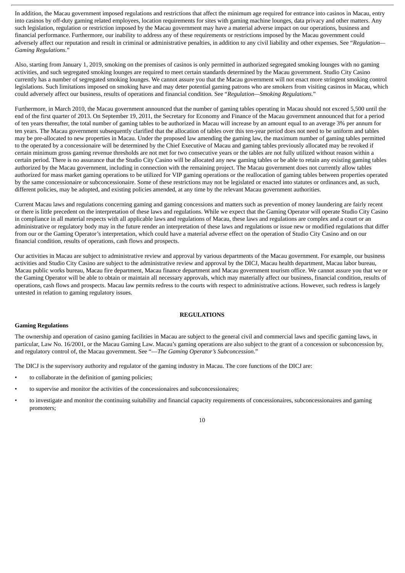In addition, the Macau government imposed regulations and restrictions that affect the minimum age required for entrance into casinos in Macau, entry into casinos by off-duty gaming related employees, location requirements for sites with gaming machine lounges, data privacy and other matters. Any such legislation, regulation or restriction imposed by the Macau government may have a material adverse impact on our operations, business and financial performance. Furthermore, our inability to address any of these requirements or restrictions imposed by the Macau government could adversely affect our reputation and result in criminal or administrative penalties, in addition to any civil liability and other expenses. See "*Regulation— Gaming Regulations.*"

Also, starting from January 1, 2019, smoking on the premises of casinos is only permitted in authorized segregated smoking lounges with no gaming activities, and such segregated smoking lounges are required to meet certain standards determined by the Macau government. Studio City Casino currently has a number of segregated smoking lounges. We cannot assure you that the Macau government will not enact more stringent smoking control legislations. Such limitations imposed on smoking have and may deter potential gaming patrons who are smokers from visiting casinos in Macau, which could adversely affect our business, results of operations and financial condition. See "*Regulation—Smoking Regulations.*"

Furthermore, in March 2010, the Macau government announced that the number of gaming tables operating in Macau should not exceed 5,500 until the end of the first quarter of 2013. On September 19, 2011, the Secretary for Economy and Finance of the Macau government announced that for a period of ten years thereafter, the total number of gaming tables to be authorized in Macau will increase by an amount equal to an average 3% per annum for ten years. The Macau government subsequently clarified that the allocation of tables over this ten-year period does not need to be uniform and tables may be pre-allocated to new properties in Macau. Under the proposed law amending the gaming law, the maximum number of gaming tables permitted to the operated by a concessionaire will be determined by the Chief Executive of Macau and gaming tables previously allocated may be revoked if certain minimum gross gaming revenue thresholds are not met for two consecutive years or the tables are not fully utilized without reason within a certain period. There is no assurance that the Studio City Casino will be allocated any new gaming tables or be able to retain any existing gaming tables authorized by the Macau government, including in connection with the remaining project. The Macau government does not currently allow tables authorized for mass market gaming operations to be utilized for VIP gaming operations or the reallocation of gaming tables between properties operated by the same concessionaire or subconcessionaire. Some of these restrictions may not be legislated or enacted into statutes or ordinances and, as such, different policies, may be adopted, and existing policies amended, at any time by the relevant Macau government authorities.

Current Macau laws and regulations concerning gaming and gaming concessions and matters such as prevention of money laundering are fairly recent or there is little precedent on the interpretation of these laws and regulations. While we expect that the Gaming Operator will operate Studio City Casino in compliance in all material respects with all applicable laws and regulations of Macau, these laws and regulations are complex and a court or an administrative or regulatory body may in the future render an interpretation of these laws and regulations or issue new or modified regulations that differ from our or the Gaming Operator's interpretation, which could have a material adverse effect on the operation of Studio City Casino and on our financial condition, results of operations, cash flows and prospects.

Our activities in Macau are subject to administrative review and approval by various departments of the Macau government. For example, our business activities and Studio City Casino are subject to the administrative review and approval by the DICJ, Macau health department, Macau labor bureau, Macau public works bureau, Macau fire department, Macau finance department and Macau government tourism office. We cannot assure you that we or the Gaming Operator will be able to obtain or maintain all necessary approvals, which may materially affect our business, financial condition, results of operations, cash flows and prospects. Macau law permits redress to the courts with respect to administrative actions. However, such redress is largely untested in relation to gaming regulatory issues.

#### **REGULATIONS**

#### **Gaming Regulations**

The ownership and operation of casino gaming facilities in Macau are subject to the general civil and commercial laws and specific gaming laws, in particular, Law No. 16/2001, or the Macau Gaming Law. Macau's gaming operations are also subject to the grant of a concession or subconcession by, and regulatory control of, the Macau government. See "—*The Gaming Operator's Subconcession*."

The DICJ is the supervisory authority and regulator of the gaming industry in Macau. The core functions of the DICJ are:

- to collaborate in the definition of gaming policies;
- to supervise and monitor the activities of the concessionaires and subconcessionaires;
- to investigate and monitor the continuing suitability and financial capacity requirements of concessionaires, subconcessionaires and gaming promoters;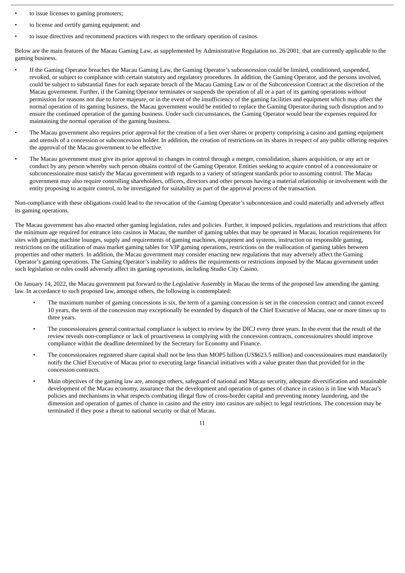- to issue licenses to gaming promoters;
- to license and certify gaming equipment; and
- to issue directives and recommend practices with respect to the ordinary operation of casinos.

Below are the main features of the Macau Gaming Law, as supplemented by Administrative Regulation no. 26/2001, that are currently applicable to the gaming business.

- If the Gaming Operator breaches the Macau Gaming Law, the Gaming Operator's subconcession could be limited, conditioned, suspended, revoked, or subject to compliance with certain statutory and regulatory procedures. In addition, the Gaming Operator, and the persons involved, could be subject to substantial fines for each separate breach of the Macau Gaming Law or of the Subconcession Contract at the discretion of the Macau government. Further, if the Gaming Operator terminates or suspends the operation of all or a part of its gaming operations without permission for reasons not due to force majeure, or in the event of the insufficiency of the gaming facilities and equipment which may affect the normal operation of its gaming business, the Macau government would be entitled to replace the Gaming Operator during such disruption and to ensure the continued operation of the gaming business. Under such circumstances, the Gaming Operator would bear the expenses required for maintaining the normal operation of the gaming business.
- The Macau government also requires prior approval for the creation of a lien over shares or property comprising a casino and gaming equipment and utensils of a concession or subconcession holder. In addition, the creation of restrictions on its shares in respect of any public offering requires the approval of the Macau government to be effective.
- The Macau government must give its prior approval to changes in control through a merger, consolidation, shares acquisition, or any act or conduct by any person whereby such person obtains control of the Gaming Operator. Entities seeking to acquire control of a concessionaire or subconcessionaire must satisfy the Macau government with regards to a variety of stringent standards prior to assuming control. The Macau government may also require controlling shareholders, officers, directors and other persons having a material relationship or involvement with the entity proposing to acquire control, to be investigated for suitability as part of the approval process of the transaction.

Non-compliance with these obligations could lead to the revocation of the Gaming Operator's subconcession and could materially and adversely affect its gaming operations.

The Macau government has also enacted other gaming legislation, rules and policies. Further, it imposed policies, regulations and restrictions that affect the minimum age required for entrance into casinos in Macau, the number of gaming tables that may be operated in Macau, location requirements for sites with gaming machine lounges, supply and requirements of gaming machines, equipment and systems, instruction on responsible gaming, restrictions on the utilization of mass market gaming tables for VIP gaming operations, restrictions on the reallocation of gaming tables between properties and other matters. In addition, the Macau government may consider enacting new regulations that may adversely affect the Gaming Operator's gaming operations. The Gaming Operator's inability to address the requirements or restrictions imposed by the Macau government under such legislation or rules could adversely affect its gaming operations, including Studio City Casino.

On January 14, 2022, the Macau government put forward to the Legislative Assembly in Macau the terms of the proposed law amending the gaming law. In accordance to such proposed law, amongst others, the following is contemplated:

- The maximum number of gaming concessions is six, the term of a gaming concession is set in the concession contract and cannot exceed 10 years, the term of the concession may exceptionally be extended by dispatch of the Chief Executive of Macau, one or more times up to three years.
- The concessionaires general contractual compliance is subject to review by the DICJ every three years. In the event that the result of the review reveals non-compliance or lack of proactiveness in complying with the concession contracts, concessionaires should improve compliance within the deadline determined by the Secretary for Economy and Finance.
- The concessionaires registered share capital shall not be less than MOP5 billion (US\$623.5 million) and concessionaires must mandatorily notify the Chief Executive of Macau prior to executing large financial initiatives with a value greater than that provided for in the concession contracts.
- Main objectives of the gaming law are, amongst others, safeguard of national and Macau security, adequate diversification and sustainable development of the Macau economy, assurance that the development and operation of games of chance in casino is in line with Macau's policies and mechanisms in what respects combating illegal flow of cross-border capital and preventing money laundering, and the dimension and operation of games of chance in casino and the entry into casinos are subject to legal restrictions. The concession may be terminated if they pose a threat to national security or that of Macau.

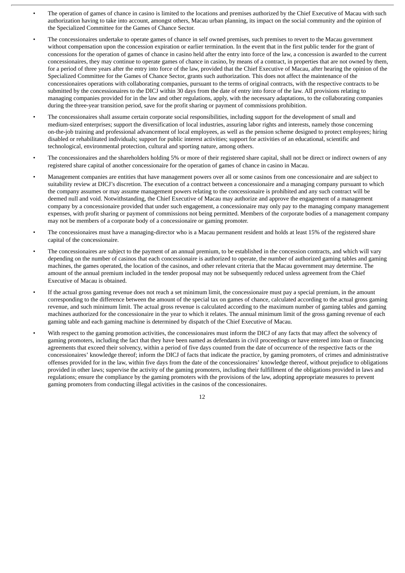- The operation of games of chance in casino is limited to the locations and premises authorized by the Chief Executive of Macau with such authorization having to take into account, amongst others, Macau urban planning, its impact on the social community and the opinion of the Specialized Committee for the Games of Chance Sector.
- The concessionaires undertake to operate games of chance in self owned premises, such premises to revert to the Macau government without compensation upon the concession expiration or earlier termination. In the event that in the first public tender for the grant of concessions for the operation of games of chance in casino held after the entry into force of the law, a concession is awarded to the current concessionaires, they may continue to operate games of chance in casino, by means of a contract, in properties that are not owned by them, for a period of three years after the entry into force of the law, provided that the Chief Executive of Macau, after hearing the opinion of the Specialized Committee for the Games of Chance Sector, grants such authorization. This does not affect the maintenance of the concessionaires operations with collaborating companies, pursuant to the terms of original contracts, with the respective contracts to be submitted by the concessionaires to the DICJ within 30 days from the date of entry into force of the law. All provisions relating to managing companies provided for in the law and other regulations, apply, with the necessary adaptations, to the collaborating companies during the three-year transition period, save for the profit sharing or payment of commissions prohibition.
- The concessionaires shall assume certain corporate social responsibilities, including support for the development of small and medium-sized enterprises; support the diversification of local industries, assuring labor rights and interests, namely those concerning on-the-job training and professional advancement of local employees, as well as the pension scheme designed to protect employees; hiring disabled or rehabilitated individuals; support for public interest activities; support for activities of an educational, scientific and technological, environmental protection, cultural and sporting nature, among others.
- The concessionaires and the shareholders holding 5% or more of their registered share capital, shall not be direct or indirect owners of any registered share capital of another concessionaire for the operation of games of chance in casino in Macau.
- Management companies are entities that have management powers over all or some casinos from one concessionaire and are subject to suitability review at DICJ's discretion. The execution of a contract between a concessionaire and a managing company pursuant to which the company assumes or may assume management powers relating to the concessionaire is prohibited and any such contract will be deemed null and void. Notwithstanding, the Chief Executive of Macau may authorize and approve the engagement of a management company by a concessionaire provided that under such engagement, a concessionaire may only pay to the managing company management expenses, with profit sharing or payment of commissions not being permitted. Members of the corporate bodies of a management company may not be members of a corporate body of a concessionaire or gaming promoter.
- The concessionaires must have a managing-director who is a Macau permanent resident and holds at least 15% of the registered share capital of the concessionaire.
- The concessionaires are subject to the payment of an annual premium, to be established in the concession contracts, and which will vary depending on the number of casinos that each concessionaire is authorized to operate, the number of authorized gaming tables and gaming machines, the games operated, the location of the casinos, and other relevant criteria that the Macau government may determine. The amount of the annual premium included in the tender proposal may not be subsequently reduced unless agreement from the Chief Executive of Macau is obtained.
- If the actual gross gaming revenue does not reach a set minimum limit, the concessionaire must pay a special premium, in the amount corresponding to the difference between the amount of the special tax on games of chance, calculated according to the actual gross gaming revenue, and such minimum limit. The actual gross revenue is calculated according to the maximum number of gaming tables and gaming machines authorized for the concessionaire in the year to which it relates. The annual minimum limit of the gross gaming revenue of each gaming table and each gaming machine is determined by dispatch of the Chief Executive of Macau.
- With respect to the gaming promotion activities, the concessionaires must inform the DICJ of any facts that may affect the solvency of gaming promoters, including the fact that they have been named as defendants in civil proceedings or have entered into loan or financing agreements that exceed their solvency, within a period of five days counted from the date of occurrence of the respective facts or the concessionaires' knowledge thereof; inform the DICJ of facts that indicate the practice, by gaming promoters, of crimes and administrative offenses provided for in the law, within five days from the date of the concessionaires' knowledge thereof, without prejudice to obligations provided in other laws; supervise the activity of the gaming promoters, including their fulfillment of the obligations provided in laws and regulations; ensure the compliance by the gaming promoters with the provisions of the law, adopting appropriate measures to prevent gaming promoters from conducting illegal activities in the casinos of the concessionaires.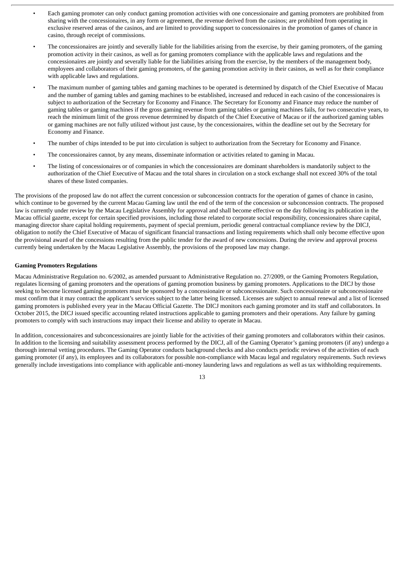- Each gaming promoter can only conduct gaming promotion activities with one concessionaire and gaming promoters are prohibited from sharing with the concessionaires, in any form or agreement, the revenue derived from the casinos; are prohibited from operating in exclusive reserved areas of the casinos, and are limited to providing support to concessionaires in the promotion of games of chance in casino, through receipt of commissions.
- The concessionaires are jointly and severally liable for the liabilities arising from the exercise, by their gaming promoters, of the gaming promotion activity in their casinos, as well as for gaming promoters compliance with the applicable laws and regulations and the concessionaires are jointly and severally liable for the liabilities arising from the exercise, by the members of the management body, employees and collaborators of their gaming promoters, of the gaming promotion activity in their casinos, as well as for their compliance with applicable laws and regulations.
- The maximum number of gaming tables and gaming machines to be operated is determined by dispatch of the Chief Executive of Macau and the number of gaming tables and gaming machines to be established, increased and reduced in each casino of the concessionaires is subject to authorization of the Secretary for Economy and Finance. The Secretary for Economy and Finance may reduce the number of gaming tables or gaming machines if the gross gaming revenue from gaming tables or gaming machines fails, for two consecutive years, to reach the minimum limit of the gross revenue determined by dispatch of the Chief Executive of Macau or if the authorized gaming tables or gaming machines are not fully utilized without just cause, by the concessionaires, within the deadline set out by the Secretary for Economy and Finance.
- The number of chips intended to be put into circulation is subject to authorization from the Secretary for Economy and Finance.
- The concessionaires cannot, by any means, disseminate information or activities related to gaming in Macau.
- The listing of concessionaires or of companies in which the concessionaires are dominant shareholders is mandatorily subject to the authorization of the Chief Executive of Macau and the total shares in circulation on a stock exchange shall not exceed 30% of the total shares of these listed companies.

The provisions of the proposed law do not affect the current concession or subconcession contracts for the operation of games of chance in casino, which continue to be governed by the current Macau Gaming law until the end of the term of the concession or subconcession contracts. The proposed law is currently under review by the Macau Legislative Assembly for approval and shall become effective on the day following its publication in the Macau official gazette, except for certain specified provisions, including those related to corporate social responsibility, concessionaires share capital, managing director share capital holding requirements, payment of special premium, periodic general contractual compliance review by the DICJ, obligation to notify the Chief Executive of Macau of significant financial transactions and listing requirements which shall only become effective upon the provisional award of the concessions resulting from the public tender for the award of new concessions. During the review and approval process currently being undertaken by the Macau Legislative Assembly, the provisions of the proposed law may change.

#### **Gaming Promoters Regulations**

Macau Administrative Regulation no. 6/2002, as amended pursuant to Administrative Regulation no. 27/2009, or the Gaming Promoters Regulation, regulates licensing of gaming promoters and the operations of gaming promotion business by gaming promoters. Applications to the DICJ by those seeking to become licensed gaming promoters must be sponsored by a concessionaire or subconcessionaire. Such concessionaire or subconcessionaire must confirm that it may contract the applicant's services subject to the latter being licensed. Licenses are subject to annual renewal and a list of licensed gaming promoters is published every year in the Macau Official Gazette. The DICJ monitors each gaming promoter and its staff and collaborators. In October 2015, the DICJ issued specific accounting related instructions applicable to gaming promoters and their operations. Any failure by gaming promoters to comply with such instructions may impact their license and ability to operate in Macau.

In addition, concessionaires and subconcessionaires are jointly liable for the activities of their gaming promoters and collaborators within their casinos. In addition to the licensing and suitability assessment process performed by the DICJ, all of the Gaming Operator's gaming promoters (if any) undergo a thorough internal vetting procedures. The Gaming Operator conducts background checks and also conducts periodic reviews of the activities of each gaming promoter (if any), its employees and its collaborators for possible non-compliance with Macau legal and regulatory requirements. Such reviews generally include investigations into compliance with applicable anti-money laundering laws and regulations as well as tax withholding requirements.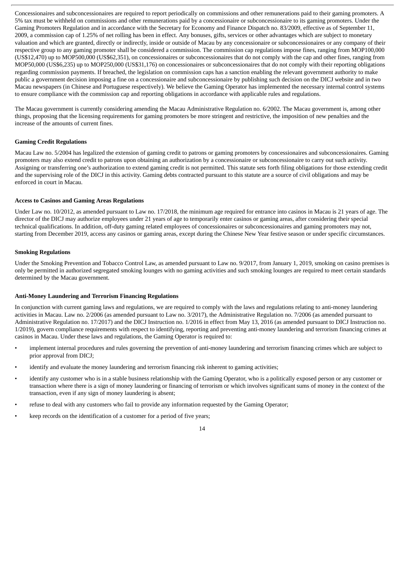Concessionaires and subconcessionaires are required to report periodically on commissions and other remunerations paid to their gaming promoters. A 5% tax must be withheld on commissions and other remunerations paid by a concessionaire or subconcessionaire to its gaming promoters. Under the Gaming Promoters Regulation and in accordance with the Secretary for Economy and Finance Dispatch no. 83/2009, effective as of September 11, 2009, a commission cap of 1.25% of net rolling has been in effect. Any bonuses, gifts, services or other advantages which are subject to monetary valuation and which are granted, directly or indirectly, inside or outside of Macau by any concessionaire or subconcessionaires or any company of their respective group to any gaming promoter shall be considered a commission. The commission cap regulations impose fines, ranging from MOP100,000 (US\$12,470) up to MOP500,000 (US\$62,351), on concessionaires or subconcessionaires that do not comply with the cap and other fines, ranging from MOP50,000 (US\$6,235) up to MOP250,000 (US\$31,176) on concessionaires or subconcessionaires that do not comply with their reporting obligations regarding commission payments. If breached, the legislation on commission caps has a sanction enabling the relevant government authority to make public a government decision imposing a fine on a concessionaire and subconcessionaire by publishing such decision on the DICJ website and in two Macau newspapers (in Chinese and Portuguese respectively). We believe the Gaming Operator has implemented the necessary internal control systems to ensure compliance with the commission cap and reporting obligations in accordance with applicable rules and regulations.

The Macau government is currently considering amending the Macau Administrative Regulation no. 6/2002. The Macau government is, among other things, proposing that the licensing requirements for gaming promoters be more stringent and restrictive, the imposition of new penalties and the increase of the amounts of current fines.

#### **Gaming Credit Regulations**

Macau Law no. 5/2004 has legalized the extension of gaming credit to patrons or gaming promoters by concessionaires and subconcessionaires. Gaming promoters may also extend credit to patrons upon obtaining an authorization by a concessionaire or subconcessionaire to carry out such activity. Assigning or transferring one's authorization to extend gaming credit is not permitted. This statute sets forth filing obligations for those extending credit and the supervising role of the DICJ in this activity. Gaming debts contracted pursuant to this statute are a source of civil obligations and may be enforced in court in Macau.

#### **Access to Casinos and Gaming Areas Regulations**

Under Law no. 10/2012, as amended pursuant to Law no. 17/2018, the minimum age required for entrance into casinos in Macau is 21 years of age. The director of the DICJ may authorize employees under 21 years of age to temporarily enter casinos or gaming areas, after considering their special technical qualifications. In addition, off-duty gaming related employees of concessionaires or subconcessionaires and gaming promoters may not, starting from December 2019, access any casinos or gaming areas, except during the Chinese New Year festive season or under specific circumstances.

#### **Smoking Regulations**

Under the Smoking Prevention and Tobacco Control Law, as amended pursuant to Law no. 9/2017, from January 1, 2019, smoking on casino premises is only be permitted in authorized segregated smoking lounges with no gaming activities and such smoking lounges are required to meet certain standards determined by the Macau government.

#### **Anti-Money Laundering and Terrorism Financing Regulations**

In conjunction with current gaming laws and regulations, we are required to comply with the laws and regulations relating to anti-money laundering activities in Macau. Law no. 2/2006 (as amended pursuant to Law no. 3/2017), the Administrative Regulation no. 7/2006 (as amended pursuant to Administrative Regulation no. 17/2017) and the DICJ Instruction no. 1/2016 in effect from May 13, 2016 (as amended pursuant to DICJ Instruction no. 1/2019), govern compliance requirements with respect to identifying, reporting and preventing anti-money laundering and terrorism financing crimes at casinos in Macau. Under these laws and regulations, the Gaming Operator is required to:

- implement internal procedures and rules governing the prevention of anti-money laundering and terrorism financing crimes which are subject to prior approval from DICJ;
- identify and evaluate the money laundering and terrorism financing risk inherent to gaming activities;
- identify any customer who is in a stable business relationship with the Gaming Operator, who is a politically exposed person or any customer or transaction where there is a sign of money laundering or financing of terrorism or which involves significant sums of money in the context of the transaction, even if any sign of money laundering is absent;
- refuse to deal with any customers who fail to provide any information requested by the Gaming Operator;
- keep records on the identification of a customer for a period of five years;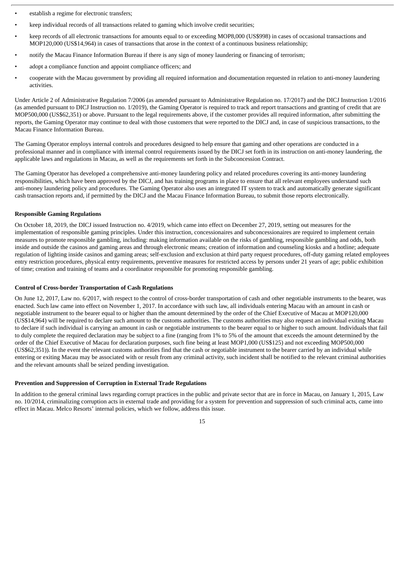- establish a regime for electronic transfers;
- keep individual records of all transactions related to gaming which involve credit securities;
- keep records of all electronic transactions for amounts equal to or exceeding MOP8,000 (US\$998) in cases of occasional transactions and MOP120,000 (US\$14,964) in cases of transactions that arose in the context of a continuous business relationship;
- notify the Macau Finance Information Bureau if there is any sign of money laundering or financing of terrorism;
- adopt a compliance function and appoint compliance officers; and
- cooperate with the Macau government by providing all required information and documentation requested in relation to anti-money laundering activities.

Under Article 2 of Administrative Regulation 7/2006 (as amended pursuant to Administrative Regulation no. 17/2017) and the DICJ Instruction 1/2016 (as amended pursuant to DICJ Instruction no. 1/2019), the Gaming Operator is required to track and report transactions and granting of credit that are MOP500,000 (US\$62,351) or above. Pursuant to the legal requirements above, if the customer provides all required information, after submitting the reports, the Gaming Operator may continue to deal with those customers that were reported to the DICJ and, in case of suspicious transactions, to the Macau Finance Information Bureau.

The Gaming Operator employs internal controls and procedures designed to help ensure that gaming and other operations are conducted in a professional manner and in compliance with internal control requirements issued by the DICJ set forth in its instruction on anti-money laundering, the applicable laws and regulations in Macau, as well as the requirements set forth in the Subconcession Contract.

The Gaming Operator has developed a comprehensive anti-money laundering policy and related procedures covering its anti-money laundering responsibilities, which have been approved by the DICJ, and has training programs in place to ensure that all relevant employees understand such anti-money laundering policy and procedures. The Gaming Operator also uses an integrated IT system to track and automatically generate significant cash transaction reports and, if permitted by the DICJ and the Macau Finance Information Bureau, to submit those reports electronically.

#### **Responsible Gaming Regulations**

On October 18, 2019, the DICJ issued Instruction no. 4/2019, which came into effect on December 27, 2019, setting out measures for the implementation of responsible gaming principles. Under this instruction, concessionaires and subconcessionaires are required to implement certain measures to promote responsible gambling, including: making information available on the risks of gambling, responsible gambling and odds, both inside and outside the casinos and gaming areas and through electronic means; creation of information and counseling kiosks and a hotline; adequate regulation of lighting inside casinos and gaming areas; self-exclusion and exclusion at third party request procedures, off-duty gaming related employees entry restriction procedures, physical entry requirements, preventive measures for restricted access by persons under 21 years of age; public exhibition of time; creation and training of teams and a coordinator responsible for promoting responsible gambling.

#### **Control of Cross-border Transportation of Cash Regulations**

On June 12, 2017, Law no. 6/2017, with respect to the control of cross-border transportation of cash and other negotiable instruments to the bearer, was enacted. Such law came into effect on November 1, 2017. In accordance with such law, all individuals entering Macau with an amount in cash or negotiable instrument to the bearer equal to or higher than the amount determined by the order of the Chief Executive of Macau at MOP120,000 (US\$14,964) will be required to declare such amount to the customs authorities. The customs authorities may also request an individual exiting Macau to declare if such individual is carrying an amount in cash or negotiable instruments to the bearer equal to or higher to such amount. Individuals that fail to duly complete the required declaration may be subject to a fine (ranging from 1% to 5% of the amount that exceeds the amount determined by the order of the Chief Executive of Macau for declaration purposes, such fine being at least MOP1,000 (US\$125) and not exceeding MOP500,000 (US\$62,351)). In the event the relevant customs authorities find that the cash or negotiable instrument to the bearer carried by an individual while entering or exiting Macau may be associated with or result from any criminal activity, such incident shall be notified to the relevant criminal authorities and the relevant amounts shall be seized pending investigation.

#### **Prevention and Suppression of Corruption in External Trade Regulations**

In addition to the general criminal laws regarding corrupt practices in the public and private sector that are in force in Macau, on January 1, 2015, Law no. 10/2014, criminalizing corruption acts in external trade and providing for a system for prevention and suppression of such criminal acts, came into effect in Macau. Melco Resorts' internal policies, which we follow, address this issue.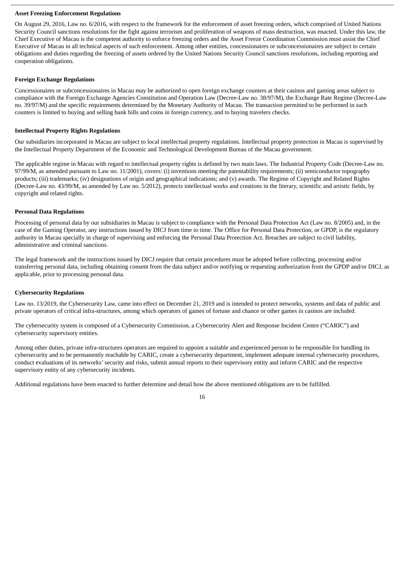#### **Asset Freezing Enforcement Regulations**

On August 29, 2016, Law no. 6/2016, with respect to the framework for the enforcement of asset freezing orders, which comprised of United Nations Security Council sanctions resolutions for the fight against terrorism and proliferation of weapons of mass destruction, was enacted. Under this law, the Chief Executive of Macau is the competent authority to enforce freezing orders and the Asset Freeze Coordination Commission must assist the Chief Executive of Macau in all technical aspects of such enforcement. Among other entities, concessionaires or subconcessionaires are subject to certain obligations and duties regarding the freezing of assets ordered by the United Nations Security Council sanctions resolutions, including reporting and cooperation obligations.

#### **Foreign Exchange Regulations**

Concessionaires or subconcessionaires in Macau may be authorized to open foreign exchange counters at their casinos and gaming areas subject to compliance with the Foreign Exchange Agencies Constitution and Operation Law (Decree-Law no. 38/97/M), the Exchange Rate Regime (Decree-Law no. 39/97/M) and the specific requirements determined by the Monetary Authority of Macau. The transaction permitted to be performed in such counters is limited to buying and selling bank bills and coins in foreign currency, and to buying travelers checks.

#### **Intellectual Property Rights Regulations**

Our subsidiaries incorporated in Macau are subject to local intellectual property regulations. Intellectual property protection in Macau is supervised by the Intellectual Property Department of the Economic and Technological Development Bureau of the Macau government.

The applicable regime in Macau with regard to intellectual property rights is defined by two main laws. The Industrial Property Code (Decree-Law no. 97/99/M, as amended pursuant to Law no. 11/2001), covers: (i) inventions meeting the patentability requirements; (ii) semiconductor topography products; (iii) trademarks; (iv) designations of origin and geographical indications; and (v) awards. The Regime of Copyright and Related Rights (Decree-Law no. 43/99/M, as amended by Law no. 5/2012), protects intellectual works and creations in the literary, scientific and artistic fields, by copyright and related rights.

#### **Personal Data Regulations**

Processing of personal data by our subsidiaries in Macau is subject to compliance with the Personal Data Protection Act (Law no. 8/2005) and, in the case of the Gaming Operator, any instructions issued by DICJ from time to time. The Office for Personal Data Protection, or GPDP, is the regulatory authority in Macau specially in charge of supervising and enforcing the Personal Data Protection Act. Breaches are subject to civil liability, administrative and criminal sanctions.

The legal framework and the instructions issued by DICJ require that certain procedures must be adopted before collecting, processing and/or transferring personal data, including obtaining consent from the data subject and/or notifying or requesting authorization from the GPDP and/or DICJ, as applicable, prior to processing personal data.

#### **Cybersecurity Regulations**

Law no. 13/2019, the Cybersecurity Law, came into effect on December 21, 2019 and is intended to protect networks, systems and data of public and private operators of critical infra-structures, among which operators of games of fortune and chance or other games in casinos are included.

The cybersecurity system is composed of a Cybersecurity Commission, a Cybersecurity Alert and Response Incident Centre ("CARIC") and cybersecurity supervisory entities.

Among other duties, private infra-structures operators are required to appoint a suitable and experienced person to be responsible for handling its cybersecurity and to be permanently reachable by CARIC, create a cybersecurity department, implement adequate internal cybersecurity procedures, conduct evaluations of its networks'security and risks, submit annual reports to their supervisory entity and inform CARIC and the respective supervisory entity of any cybersecurity incidents.

Additional regulations have been enacted to further determine and detail how the above mentioned obligations are to be fulfilled.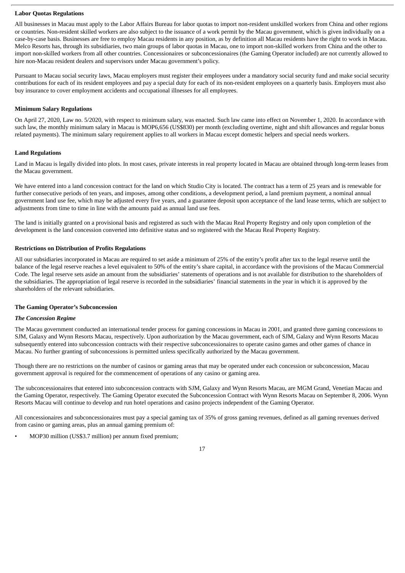#### **Labor Quotas Regulations**

All businesses in Macau must apply to the Labor Affairs Bureau for labor quotas to import non-resident unskilled workers from China and other regions or countries. Non-resident skilled workers are also subject to the issuance of a work permit by the Macau government, which is given individually on a case-by-case basis. Businesses are free to employ Macau residents in any position, as by definition all Macau residents have the right to work in Macau. Melco Resorts has, through its subsidiaries, two main groups of labor quotas in Macau, one to import non-skilled workers from China and the other to import non-skilled workers from all other countries. Concessionaires or subconcessionaires (the Gaming Operator included) are not currently allowed to hire non-Macau resident dealers and supervisors under Macau government's policy.

Pursuant to Macau social security laws, Macau employers must register their employees under a mandatory social security fund and make social security contributions for each of its resident employees and pay a special duty for each of its non-resident employees on a quarterly basis. Employers must also buy insurance to cover employment accidents and occupational illnesses for all employees.

#### **Minimum Salary Regulations**

On April 27, 2020, Law no. 5/2020, with respect to minimum salary, was enacted. Such law came into effect on November 1, 2020. In accordance with such law, the monthly minimum salary in Macau is MOP6,656 (US\$830) per month (excluding overtime, night and shift allowances and regular bonus related payments). The minimum salary requirement applies to all workers in Macau except domestic helpers and special needs workers.

#### **Land Regulations**

Land in Macau is legally divided into plots. In most cases, private interests in real property located in Macau are obtained through long-term leases from the Macau government.

We have entered into a land concession contract for the land on which Studio City is located. The contract has a term of 25 years and is renewable for further consecutive periods of ten years, and imposes, among other conditions, a development period, a land premium payment, a nominal annual government land use fee, which may be adjusted every five years, and a guarantee deposit upon acceptance of the land lease terms, which are subject to adjustments from time to time in line with the amounts paid as annual land use fees.

The land is initially granted on a provisional basis and registered as such with the Macau Real Property Registry and only upon completion of the development is the land concession converted into definitive status and so registered with the Macau Real Property Registry.

#### **Restrictions on Distribution of Profits Regulations**

All our subsidiaries incorporated in Macau are required to set aside a minimum of 25% of the entity's profit after tax to the legal reserve until the balance of the legal reserve reaches a level equivalent to 50% of the entity's share capital, in accordance with the provisions of the Macau Commercial Code. The legal reserve sets aside an amount from the subsidiaries' statements of operations and is not available for distribution to the shareholders of the subsidiaries. The appropriation of legal reserve is recorded in the subsidiaries' financial statements in the year in which it is approved by the shareholders of the relevant subsidiaries.

#### **The Gaming Operator's Subconcession**

#### *The Concession Regime*

The Macau government conducted an international tender process for gaming concessions in Macau in 2001, and granted three gaming concessions to SJM, Galaxy and Wynn Resorts Macau, respectively. Upon authorization by the Macau government, each of SJM, Galaxy and Wynn Resorts Macau subsequently entered into subconcession contracts with their respective subconcessionaires to operate casino games and other games of chance in Macau. No further granting of subconcessions is permitted unless specifically authorized by the Macau government.

Though there are no restrictions on the number of casinos or gaming areas that may be operated under each concession or subconcession, Macau government approval is required for the commencement of operations of any casino or gaming area.

The subconcessionaires that entered into subconcession contracts with SJM, Galaxy and Wynn Resorts Macau, are MGM Grand, Venetian Macau and the Gaming Operator, respectively. The Gaming Operator executed the Subconcession Contract with Wynn Resorts Macau on September 8, 2006. Wynn Resorts Macau will continue to develop and run hotel operations and casino projects independent of the Gaming Operator.

All concessionaires and subconcessionaires must pay a special gaming tax of 35% of gross gaming revenues, defined as all gaming revenues derived from casino or gaming areas, plus an annual gaming premium of:

• MOP30 million (US\$3.7 million) per annum fixed premium;

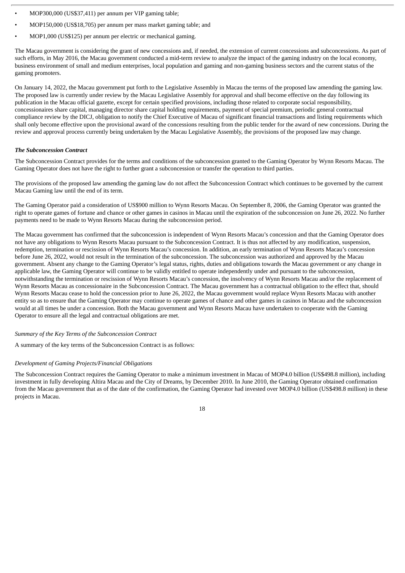- MOP300,000 (US\$37,411) per annum per VIP gaming table;
- MOP150,000 (US\$18,705) per annum per mass market gaming table; and
- MOP1,000 (US\$125) per annum per electric or mechanical gaming.

The Macau government is considering the grant of new concessions and, if needed, the extension of current concessions and subconcessions. As part of such efforts, in May 2016, the Macau government conducted a mid-term review to analyze the impact of the gaming industry on the local economy, business environment of small and medium enterprises, local population and gaming and non-gaming business sectors and the current status of the gaming promoters.

On January 14, 2022, the Macau government put forth to the Legislative Assembly in Macau the terms of the proposed law amending the gaming law. The proposed law is currently under review by the Macau Legislative Assembly for approval and shall become effective on the day following its publication in the Macau official gazette, except for certain specified provisions, including those related to corporate social responsibility, concessionaires share capital, managing director share capital holding requirements, payment of special premium, periodic general contractual compliance review by the DICJ, obligation to notify the Chief Executive of Macau of significant financial transactions and listing requirements which shall only become effective upon the provisional award of the concessions resulting from the public tender for the award of new concessions. During the review and approval process currently being undertaken by the Macau Legislative Assembly, the provisions of the proposed law may change.

#### *The Subconcession Contract*

The Subconcession Contract provides for the terms and conditions of the subconcession granted to the Gaming Operator by Wynn Resorts Macau. The Gaming Operator does not have the right to further grant a subconcession or transfer the operation to third parties.

The provisions of the proposed law amending the gaming law do not affect the Subconcession Contract which continues to be governed by the current Macau Gaming law until the end of its term.

The Gaming Operator paid a consideration of US\$900 million to Wynn Resorts Macau. On September 8, 2006, the Gaming Operator was granted the right to operate games of fortune and chance or other games in casinos in Macau until the expiration of the subconcession on June 26, 2022. No further payments need to be made to Wynn Resorts Macau during the subconcession period.

The Macau government has confirmed that the subconcession is independent of Wynn Resorts Macau's concession and that the Gaming Operator does not have any obligations to Wynn Resorts Macau pursuant to the Subconcession Contract. It is thus not affected by any modification, suspension, redemption, termination or rescission of Wynn Resorts Macau's concession. In addition, an early termination of Wynn Resorts Macau's concession before June 26, 2022, would not result in the termination of the subconcession. The subconcession was authorized and approved by the Macau government. Absent any change to the Gaming Operator's legal status, rights, duties and obligations towards the Macau government or any change in applicable law, the Gaming Operator will continue to be validly entitled to operate independently under and pursuant to the subconcession, notwithstanding the termination or rescission of Wynn Resorts Macau's concession, the insolvency of Wynn Resorts Macau and/or the replacement of Wynn Resorts Macau as concessionaire in the Subconcession Contract. The Macau government has a contractual obligation to the effect that, should Wynn Resorts Macau cease to hold the concession prior to June 26, 2022, the Macau government would replace Wynn Resorts Macau with another entity so as to ensure that the Gaming Operator may continue to operate games of chance and other games in casinos in Macau and the subconcession would at all times be under a concession. Both the Macau government and Wynn Resorts Macau have undertaken to cooperate with the Gaming Operator to ensure all the legal and contractual obligations are met.

#### *Summary of the Key Terms of the Subconcession Contract*

A summary of the key terms of the Subconcession Contract is as follows:

#### *Development of Gaming Projects/Financial Obligations*

The Subconcession Contract requires the Gaming Operator to make a minimum investment in Macau of MOP4.0 billion (US\$498.8 million), including investment in fully developing Altira Macau and the City of Dreams, by December 2010. In June 2010, the Gaming Operator obtained confirmation from the Macau government that as of the date of the confirmation, the Gaming Operator had invested over MOP4.0 billion (US\$498.8 million) in these projects in Macau.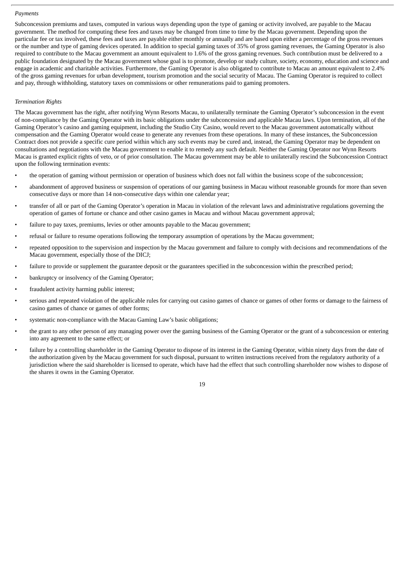#### *Payments*

Subconcession premiums and taxes, computed in various ways depending upon the type of gaming or activity involved, are payable to the Macau government. The method for computing these fees and taxes may be changed from time to time by the Macau government. Depending upon the particular fee or tax involved, these fees and taxes are payable either monthly or annually and are based upon either a percentage of the gross revenues or the number and type of gaming devices operated. In addition to special gaming taxes of 35% of gross gaming revenues, the Gaming Operator is also required to contribute to the Macau government an amount equivalent to 1.6% of the gross gaming revenues. Such contribution must be delivered to a public foundation designated by the Macau government whose goal is to promote, develop or study culture, society, economy, education and science and engage in academic and charitable activities. Furthermore, the Gaming Operator is also obligated to contribute to Macau an amount equivalent to 2.4% of the gross gaming revenues for urban development, tourism promotion and the social security of Macau. The Gaming Operator is required to collect and pay, through withholding, statutory taxes on commissions or other remunerations paid to gaming promoters.

#### *Termination Rights*

The Macau government has the right, after notifying Wynn Resorts Macau, to unilaterally terminate the Gaming Operator's subconcession in the event of non-compliance by the Gaming Operator with its basic obligations under the subconcession and applicable Macau laws. Upon termination, all of the Gaming Operator's casino and gaming equipment, including the Studio City Casino, would revert to the Macau government automatically without compensation and the Gaming Operator would cease to generate any revenues from these operations. In many of these instances, the Subconcession Contract does not provide a specific cure period within which any such events may be cured and, instead, the Gaming Operator may be dependent on consultations and negotiations with the Macau government to enable it to remedy any such default. Neither the Gaming Operator nor Wynn Resorts Macau is granted explicit rights of veto, or of prior consultation. The Macau government may be able to unilaterally rescind the Subconcession Contract upon the following termination events:

- the operation of gaming without permission or operation of business which does not fall within the business scope of the subconcession;
- abandonment of approved business or suspension of operations of our gaming business in Macau without reasonable grounds for more than seven consecutive days or more than 14 non-consecutive days within one calendar year;
- transfer of all or part of the Gaming Operator's operation in Macau in violation of the relevant laws and administrative regulations governing the operation of games of fortune or chance and other casino games in Macau and without Macau government approval;
- failure to pay taxes, premiums, levies or other amounts payable to the Macau government;
- refusal or failure to resume operations following the temporary assumption of operations by the Macau government;
- repeated opposition to the supervision and inspection by the Macau government and failure to comply with decisions and recommendations of the Macau government, especially those of the DICJ;
- failure to provide or supplement the guarantee deposit or the guarantees specified in the subconcession within the prescribed period;
- bankruptcy or insolvency of the Gaming Operator;
- fraudulent activity harming public interest;
- serious and repeated violation of the applicable rules for carrying out casino games of chance or games of other forms or damage to the fairness of casino games of chance or games of other forms;
- systematic non-compliance with the Macau Gaming Law's basic obligations;
- the grant to any other person of any managing power over the gaming business of the Gaming Operator or the grant of a subconcession or entering into any agreement to the same effect; or
- failure by a controlling shareholder in the Gaming Operator to dispose of its interest in the Gaming Operator, within ninety days from the date of the authorization given by the Macau government for such disposal, pursuant to written instructions received from the regulatory authority of a jurisdiction where the said shareholder is licensed to operate, which have had the effect that such controlling shareholder now wishes to dispose of the shares it owns in the Gaming Operator.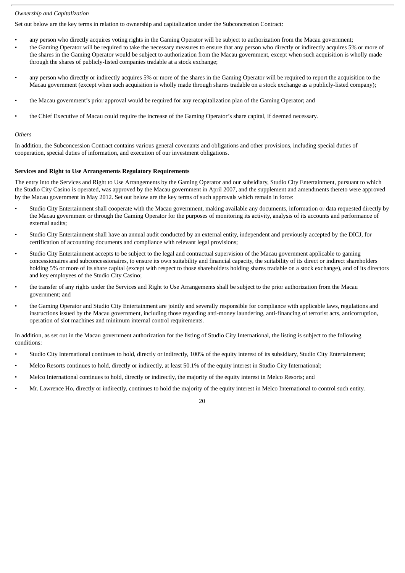#### *Ownership and Capitalization*

Set out below are the key terms in relation to ownership and capitalization under the Subconcession Contract:

- any person who directly acquires voting rights in the Gaming Operator will be subject to authorization from the Macau government;
- the Gaming Operator will be required to take the necessary measures to ensure that any person who directly or indirectly acquires 5% or more of the shares in the Gaming Operator would be subject to authorization from the Macau government, except when such acquisition is wholly made through the shares of publicly-listed companies tradable at a stock exchange;
- any person who directly or indirectly acquires 5% or more of the shares in the Gaming Operator will be required to report the acquisition to the Macau government (except when such acquisition is wholly made through shares tradable on a stock exchange as a publicly-listed company);
- the Macau government's prior approval would be required for any recapitalization plan of the Gaming Operator; and
- the Chief Executive of Macau could require the increase of the Gaming Operator's share capital, if deemed necessary.

#### *Others*

In addition, the Subconcession Contract contains various general covenants and obligations and other provisions, including special duties of cooperation, special duties of information, and execution of our investment obligations.

#### **Services and Right to Use Arrangements Regulatory Requirements**

The entry into the Services and Right to Use Arrangements by the Gaming Operator and our subsidiary, Studio City Entertainment, pursuant to which the Studio City Casino is operated, was approved by the Macau government in April 2007, and the supplement and amendments thereto were approved by the Macau government in May 2012. Set out below are the key terms of such approvals which remain in force:

- Studio City Entertainment shall cooperate with the Macau government, making available any documents, information or data requested directly by the Macau government or through the Gaming Operator for the purposes of monitoring its activity, analysis of its accounts and performance of external audits;
- Studio City Entertainment shall have an annual audit conducted by an external entity, independent and previously accepted by the DICJ, for certification of accounting documents and compliance with relevant legal provisions;
- Studio City Entertainment accepts to be subject to the legal and contractual supervision of the Macau government applicable to gaming concessionaires and subconcessionaires, to ensure its own suitability and financial capacity, the suitability of its direct or indirect shareholders holding 5% or more of its share capital (except with respect to those shareholders holding shares tradable on a stock exchange), and of its directors and key employees of the Studio City Casino;
- the transfer of any rights under the Services and Right to Use Arrangements shall be subject to the prior authorization from the Macau government; and
- the Gaming Operator and Studio City Entertainment are jointly and severally responsible for compliance with applicable laws, regulations and instructions issued by the Macau government, including those regarding anti-money laundering, anti-financing of terrorist acts, anticorruption, operation of slot machines and minimum internal control requirements.

In addition, as set out in the Macau government authorization for the listing of Studio City International, the listing is subject to the following conditions:

- Studio City International continues to hold, directly or indirectly, 100% of the equity interest of its subsidiary, Studio City Entertainment;
- Melco Resorts continues to hold, directly or indirectly, at least 50.1% of the equity interest in Studio City International;
- Melco International continues to hold, directly or indirectly, the majority of the equity interest in Melco Resorts; and
- Mr. Lawrence Ho, directly or indirectly, continues to hold the majority of the equity interest in Melco International to control such entity.

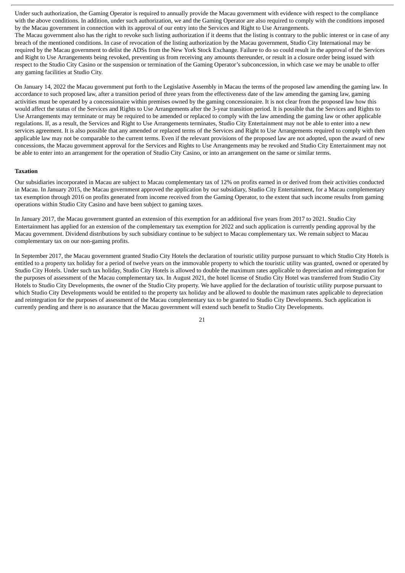Under such authorization, the Gaming Operator is required to annually provide the Macau government with evidence with respect to the compliance with the above conditions. In addition, under such authorization, we and the Gaming Operator are also required to comply with the conditions imposed by the Macau government in connection with its approval of our entry into the Services and Right to Use Arrangements. The Macau government also has the right to revoke such listing authorization if it deems that the listing is contrary to the public interest or in case of any breach of the mentioned conditions. In case of revocation of the listing authorization by the Macau government, Studio City International may be required by the Macau government to delist the ADSs from the New York Stock Exchange. Failure to do so could result in the approval of the Services and Right to Use Arrangements being revoked, preventing us from receiving any amounts thereunder, or result in a closure order being issued with respect to the Studio City Casino or the suspension or termination of the Gaming Operator's subconcession, in which case we may be unable to offer any gaming facilities at Studio City.

On January 14, 2022 the Macau government put forth to the Legislative Assembly in Macau the terms of the proposed law amending the gaming law. In accordance to such proposed law, after a transition period of three years from the effectiveness date of the law amending the gaming law, gaming activities must be operated by a concessionaire within premises owned by the gaming concessionaire. It is not clear from the proposed law how this would affect the status of the Services and Rights to Use Arrangements after the 3-year transition period. It is possible that the Services and Rights to Use Arrangements may terminate or may be required to be amended or replaced to comply with the law amending the gaming law or other applicable regulations. If, as a result, the Services and Right to Use Arrangements terminates, Studio City Entertainment may not be able to enter into a new services agreement. It is also possible that any amended or replaced terms of the Services and Right to Use Arrangements required to comply with then applicable law may not be comparable to the current terms. Even if the relevant provisions of the proposed law are not adopted, upon the award of new concessions, the Macau government approval for the Services and Rights to Use Arrangements may be revoked and Studio City Entertainment may not be able to enter into an arrangement for the operation of Studio City Casino, or into an arrangement on the same or similar terms.

#### **Taxation**

Our subsidiaries incorporated in Macau are subject to Macau complementary tax of 12% on profits earned in or derived from their activities conducted in Macau. In January 2015, the Macau government approved the application by our subsidiary, Studio City Entertainment, for a Macau complementary tax exemption through 2016 on profits generated from income received from the Gaming Operator, to the extent that such income results from gaming operations within Studio City Casino and have been subject to gaming taxes.

In January 2017, the Macau government granted an extension of this exemption for an additional five years from 2017 to 2021. Studio City Entertainment has applied for an extension of the complementary tax exemption for 2022 and such application is currently pending approval by the Macau government. Dividend distributions by such subsidiary continue to be subject to Macau complementary tax. We remain subject to Macau complementary tax on our non-gaming profits.

In September 2017, the Macau government granted Studio City Hotels the declaration of touristic utility purpose pursuant to which Studio City Hotels is entitled to a property tax holiday for a period of twelve years on the immovable property to which the touristic utility was granted, owned or operated by Studio City Hotels. Under such tax holiday, Studio City Hotels is allowed to double the maximum rates applicable to depreciation and reintegration for the purposes of assessment of the Macau complementary tax. In August 2021, the hotel license of Studio City Hotel was transferred from Studio City Hotels to Studio City Developments, the owner of the Studio City property. We have applied for the declaration of touristic utility purpose pursuant to which Studio City Developments would be entitled to the property tax holiday and be allowed to double the maximum rates applicable to depreciation and reintegration for the purposes of assessment of the Macau complementary tax to be granted to Studio City Developments. Such application is currently pending and there is no assurance that the Macau government will extend such benefit to Studio City Developments.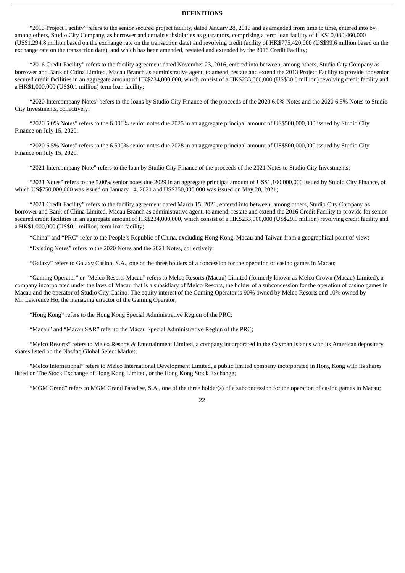#### **DEFINITIONS**

"2013 Project Facility" refers to the senior secured project facility, dated January 28, 2013 and as amended from time to time, entered into by, among others, Studio City Company, as borrower and certain subsidiaries as guarantors, comprising a term loan facility of HK\$10,080,460,000 (US\$1,294.8 million based on the exchange rate on the transaction date) and revolving credit facility of HK\$775,420,000 (US\$99.6 million based on the exchange rate on the transaction date), and which has been amended, restated and extended by the 2016 Credit Facility;

"2016 Credit Facility" refers to the facility agreement dated November 23, 2016, entered into between, among others, Studio City Company as borrower and Bank of China Limited, Macau Branch as administrative agent, to amend, restate and extend the 2013 Project Facility to provide for senior secured credit facilities in an aggregate amount of HK\$234,000,000, which consist of a HK\$233,000,000 (US\$30.0 million) revolving credit facility and a HK\$1,000,000 (US\$0.1 million) term loan facility;

"2020 Intercompany Notes" refers to the loans by Studio City Finance of the proceeds of the 2020 6.0% Notes and the 2020 6.5% Notes to Studio City Investments, collectively;

"2020 6.0% Notes" refers to the 6.000% senior notes due 2025 in an aggregate principal amount of US\$500,000,000 issued by Studio City Finance on July 15, 2020;

"2020 6.5% Notes" refers to the 6.500% senior notes due 2028 in an aggregate principal amount of US\$500,000,000 issued by Studio City Finance on July 15, 2020;

"2021 Intercompany Note" refers to the loan by Studio City Finance of the proceeds of the 2021 Notes to Studio City Investments;

"2021 Notes" refers to the 5.00% senior notes due 2029 in an aggregate principal amount of US\$1,100,000,000 issued by Studio City Finance, of which US\$750,000,000 was issued on January 14, 2021 and US\$350,000,000 was issued on May 20, 2021;

"2021 Credit Facility" refers to the facility agreement dated March 15, 2021, entered into between, among others, Studio City Company as borrower and Bank of China Limited, Macau Branch as administrative agent, to amend, restate and extend the 2016 Credit Facility to provide for senior secured credit facilities in an aggregate amount of HK\$234,000,000, which consist of a HK\$233,000,000 (US\$29.9 million) revolving credit facility and a HK\$1,000,000 (US\$0.1 million) term loan facility;

"China" and "PRC" refer to the People's Republic of China, excluding Hong Kong, Macau and Taiwan from a geographical point of view;

"Existing Notes" refers to the 2020 Notes and the 2021 Notes, collectively;

"Galaxy" refers to Galaxy Casino, S.A., one of the three holders of a concession for the operation of casino games in Macau;

"Gaming Operator" or "Melco Resorts Macau" refers to Melco Resorts (Macau) Limited (formerly known as Melco Crown (Macau) Limited), a company incorporated under the laws of Macau that is a subsidiary of Melco Resorts, the holder of a subconcession for the operation of casino games in Macau and the operator of Studio City Casino. The equity interest of the Gaming Operator is 90% owned by Melco Resorts and 10% owned by Mr. Lawrence Ho, the managing director of the Gaming Operator;

"Hong Kong" refers to the Hong Kong Special Administrative Region of the PRC;

"Macau" and "Macau SAR" refer to the Macau Special Administrative Region of the PRC;

"Melco Resorts" refers to Melco Resorts & Entertainment Limited, a company incorporated in the Cayman Islands with its American depositary shares listed on the Nasdaq Global Select Market;

"Melco International" refers to Melco International Development Limited, a public limited company incorporated in Hong Kong with its shares listed on The Stock Exchange of Hong Kong Limited, or the Hong Kong Stock Exchange;

"MGM Grand" refers to MGM Grand Paradise, S.A., one of the three holder(s) of a subconcession for the operation of casino games in Macau;

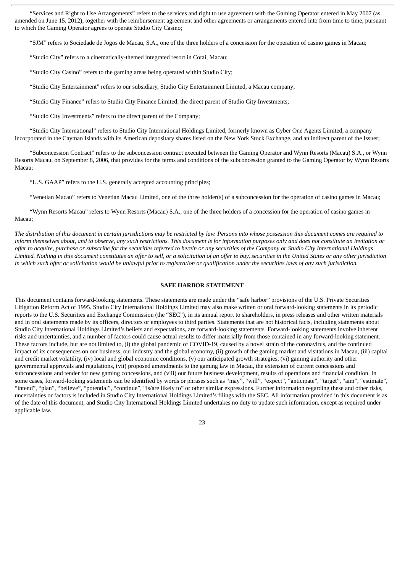"Services and Right to Use Arrangements" refers to the services and right to use agreement with the Gaming Operator entered in May 2007 (as amended on June 15, 2012), together with the reimbursement agreement and other agreements or arrangements entered into from time to time, pursuant to which the Gaming Operator agrees to operate Studio City Casino;

"SJM" refers to Sociedade de Jogos de Macau, S.A., one of the three holders of a concession for the operation of casino games in Macau;

"Studio City" refers to a cinematically-themed integrated resort in Cotai, Macau;

"Studio City Casino" refers to the gaming areas being operated within Studio City;

"Studio City Entertainment" refers to our subsidiary, Studio City Entertainment Limited, a Macau company;

"Studio City Finance" refers to Studio City Finance Limited, the direct parent of Studio City Investments;

"Studio City Investments" refers to the direct parent of the Company;

"Studio City International" refers to Studio City International Holdings Limited, formerly known as Cyber One Agents Limited, a company incorporated in the Cayman Islands with its American depositary shares listed on the New York Stock Exchange, and an indirect parent of the Issuer;

"Subconcession Contract" refers to the subconcession contract executed between the Gaming Operator and Wynn Resorts (Macau) S.A., or Wynn Resorts Macau, on September 8, 2006, that provides for the terms and conditions of the subconcession granted to the Gaming Operator by Wynn Resorts Macau;

"U.S. GAAP" refers to the U.S. generally accepted accounting principles;

"Venetian Macau" refers to Venetian Macau Limited, one of the three holder(s) of a subconcession for the operation of casino games in Macau;

"Wynn Resorts Macau" refers to Wynn Resorts (Macau) S.A., one of the three holders of a concession for the operation of casino games in Macau;

The distribution of this document in certain jurisdictions may be restricted by law. Persons into whose possession this document comes are required to inform themselves about, and to observe, any such restrictions. This document is for information purposes only and does not constitute an invitation or offer to acquire, purchase or subscribe for the securities referred to herein or any securities of the Company or Studio City International Holdings Limited. Nothing in this document constitutes an offer to sell, or a solicitation of an offer to buy, securities in the United States or any other jurisdiction in which such offer or solicitation would be unlawful prior to registration or qualification under the securities laws of any such jurisdiction.

#### **SAFE HARBOR STATEMENT**

This document contains forward-looking statements. These statements are made under the "safe harbor" provisions of the U.S. Private Securities Litigation Reform Act of 1995. Studio City International Holdings Limited may also make written or oral forward-looking statements in its periodic reports to the U.S. Securities and Exchange Commission (the "SEC"), in its annual report to shareholders, in press releases and other written materials and in oral statements made by its officers, directors or employees to third parties. Statements that are not historical facts, including statements about Studio City International Holdings Limited's beliefs and expectations, are forward-looking statements. Forward-looking statements involve inherent risks and uncertainties, and a number of factors could cause actual results to differ materially from those contained in any forward-looking statement. These factors include, but are not limited to, (i) the global pandemic of COVID-19, caused by a novel strain of the coronavirus, and the continued impact of its consequences on our business, our industry and the global economy, (ii) growth of the gaming market and visitations in Macau, (iii) capital and credit market volatility, (iv) local and global economic conditions, (v) our anticipated growth strategies, (vi) gaming authority and other governmental approvals and regulations, (vii) proposed amendments to the gaming law in Macau, the extension of current concessions and subconcessions and tender for new gaming concessions, and (viii) our future business development, results of operations and financial condition. In some cases, forward-looking statements can be identified by words or phrases such as "may", "will", "expect", "anticipate", "target", "aim", "estimate", "intend", "plan", "believe", "potential", "continue", "is/are likely to" or other similar expressions. Further information regarding these and other risks, uncertainties or factors is included in Studio City International Holdings Limited's filings with the SEC. All information provided in this document is as of the date of this document, and Studio City International Holdings Limited undertakes no duty to update such information, except as required under applicable law.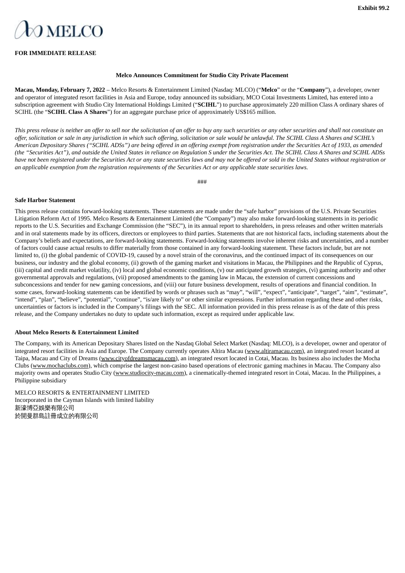# <span id="page-27-0"></span>**DMELCO**

#### **FOR IMMEDIATE RELEASE**

#### **Melco Announces Commitment for Studio City Private Placement**

**Macau, Monday, February 7, 2022** – Melco Resorts & Entertainment Limited (Nasdaq: MLCO) ("**Melco**" or the "**Company**"), a developer, owner and operator of integrated resort facilities in Asia and Europe, today announced its subsidiary, MCO Cotai Investments Limited, has entered into a subscription agreement with Studio City International Holdings Limited ("**SCIHL**") to purchase approximately 220 million Class A ordinary shares of SCIHL (the "**SCIHL Class A Shares**") for an aggregate purchase price of approximately US\$165 million.

This press release is neither an offer to sell nor the solicitation of an offer to buy any such securities or any other securities and shall not constitute an offer, solicitation or sale in any jurisdiction in which such offering, solicitation or sale would be unlawful. The SCIHL Class A Shares and SCIHL's American Depositary Shares ("SCIHL ADSs") are being offered in an offering exempt from registration under the Securities Act of 1933, as amended (the "Securities Act"), and outside the United States in reliance on Regulation S under the Securities Act. The SCIHL Class A Shares and SCIHL ADSs have not been registered under the Securities Act or any state securities laws and may not be offered or sold in the United States without registration or an applicable exemption from the registration requirements of the Securities Act or any applicable state securities laws.

###

#### **Safe Harbor Statement**

This press release contains forward-looking statements. These statements are made under the "safe harbor" provisions of the U.S. Private Securities Litigation Reform Act of 1995. Melco Resorts & Entertainment Limited (the "Company") may also make forward-looking statements in its periodic reports to the U.S. Securities and Exchange Commission (the "SEC"), in its annual report to shareholders, in press releases and other written materials and in oral statements made by its officers, directors or employees to third parties. Statements that are not historical facts, including statements about the Company's beliefs and expectations, are forward-looking statements. Forward-looking statements involve inherent risks and uncertainties, and a number of factors could cause actual results to differ materially from those contained in any forward-looking statement. These factors include, but are not limited to, (i) the global pandemic of COVID-19, caused by a novel strain of the coronavirus, and the continued impact of its consequences on our business, our industry and the global economy, (ii) growth of the gaming market and visitations in Macau, the Philippines and the Republic of Cyprus, (iii) capital and credit market volatility, (iv) local and global economic conditions, (v) our anticipated growth strategies, (vi) gaming authority and other governmental approvals and regulations, (vii) proposed amendments to the gaming law in Macau, the extension of current concessions and subconcessions and tender for new gaming concessions, and (viii) our future business development, results of operations and financial condition. In some cases, forward-looking statements can be identified by words or phrases such as "may", "will", "expect", "anticipate", "target", "aim", "estimate", "intend", "plan", "believe", "potential", "continue", "is/are likely to" or other similar expressions. Further information regarding these and other risks, uncertainties or factors is included in the Company's filings with the SEC. All information provided in this press release is as of the date of this press release, and the Company undertakes no duty to update such information, except as required under applicable law.

#### **About Melco Resorts & Entertainment Limited**

The Company, with its American Depositary Shares listed on the Nasdaq Global Select Market (Nasdaq: MLCO), is a developer, owner and operator of integrated resort facilities in Asia and Europe. The Company currently operates Altira Macau (www.altiramacau.com), an integrated resort located at Taipa, Macau and City of Dreams (www.cityofdreamsmacau.com), an integrated resort located in Cotai, Macau. Its business also includes the Mocha Clubs (www.mochaclubs.com), which comprise the largest non-casino based operations of electronic gaming machines in Macau. The Company also majority owns and operates Studio City (www.studiocity-macau.com), a cinematically-themed integrated resort in Cotai, Macau. In the Philippines, a Philippine subsidiary

MELCO RESORTS & ENTERTAINMENT LIMITED Incorporated in the Cayman Islands with limited liability 新濠博亞娛樂有限公司 於開曼群島註冊成立的有限公司